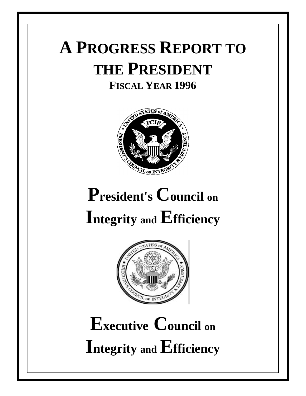## **A PROGRESS REPORT TO THE PRESIDENT FISCAL YEAR 1996**



# **President's Council on Integrity and Efficiency**



# **Executive Council on Integrity and Efficiency**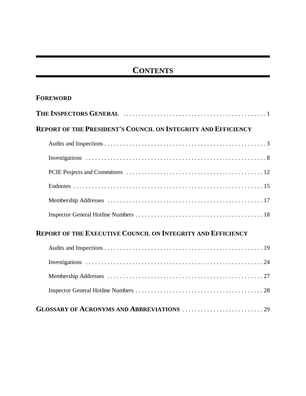## **CONTENTS**

## **FOREWORD**

| <b>REPORT OF THE PRESIDENT'S COUNCIL ON INTEGRITY AND EFFICIENCY</b> |  |  |  |
|----------------------------------------------------------------------|--|--|--|
|                                                                      |  |  |  |
|                                                                      |  |  |  |
|                                                                      |  |  |  |
|                                                                      |  |  |  |
|                                                                      |  |  |  |
|                                                                      |  |  |  |

## **REPORT OF THE EXECUTIVE COUNCIL ON INTEGRITY AND EFFICIENCY**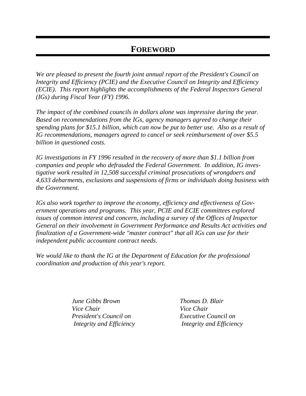## **FOREWORD**

*We are pleased to present the fourth joint annual report of the President's Council on Integrity and Efficiency (PCIE) and the Executive Council on Integrity and Efficiency (ECIE). This report highlights the accomplishments of the Federal Inspectors General (IGs) during Fiscal Year (FY) 1996.*

*The impact of the combined councils in dollars alone was impressive during the year. Based on recommendations from the IGs, agency managers agreed to change their spending plans for \$15.1 billion, which can now be put to better use. Also as a result of IG recommendations, managers agreed to cancel or seek reimbursement of over \$5.5 billion in questioned costs.*

*IG investigations in FY 1996 resulted in the recovery of more than \$1.1 billion from companies and people who defrauded the Federal Government. In addition, IG investigative work resulted in 12,508 successful criminal prosecutions of wrongdoers and 4,633 debarments, exclusions and suspensions of firms or individuals doing business with the Government.*

*IGs also work together to improve the economy, efficiency and effectiveness of Government operations and programs. This year, PCIE and ECIE committees explored issues of common interest and concern, including a survey of the Offices of Inspector General on their involvement in Government Performance and Results Act activities and finalization of a Government-wide "master contract" that all IGs can use for their independent public accountant contract needs.*

*We would like to thank the IG at the Department of Education for the professional coordination and production of this year's report.*

> *June Gibbs Brown Thomas D. Blair Vice Chair Vice Chair President's Council on Executive Council on*

 *Integrity and Efficiency Integrity and Efficiency*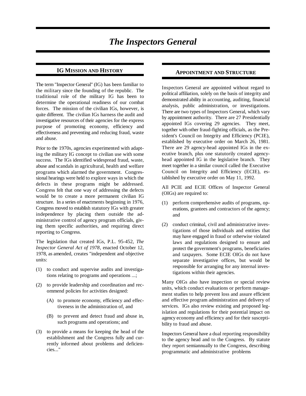#### **IG MISSION AND HISTORY**

The term "Inspector General" (IG) has been familiar to the military since the founding of the republic. The traditional role of the military IG has been to determine the operational readiness of our combat forces. The mission of the civilian IGs, however, is quite different. The civilian IGs harness the audit and investigative resources of their agencies for the express purpose of promoting economy, efficiency and effectiveness and preventing and reducing fraud, waste and abuse.

Prior to the 1970s, agencies experimented with adapting the military IG concept to civilian use with some success. The IGs identified widespread fraud, waste, abuse and scandals in agricultural, health and welfare programs which alarmed the government. Congressional hearings were held to explore ways in which the defects in these programs might be addressed. Congress felt that one way of addressing the defects would be to create a more permanent civilian IG structure. In a series of enactments beginning in 1976, Congress moved to establish statutory IGs with greater independence by placing them outside the administrative control of agency program officials, giving them specific authorities, and requiring direct reporting to Congress.

The legislation that created IGs, P.L. 95-452, *The Inspector General Act of 1978*, enacted October 12, 1978, as amended, creates "independent and objective units:

- (1) to conduct and supervise audits and investigations relating to programs and operations ...;
- (2) to provide leadership and coordination and recommend policies for activities designed:
	- (A) to promote economy, efficiency and effectiveness in the administration of, and
	- (B) to prevent and detect fraud and abuse in, such programs and operations; and
- (3) to provide a means for keeping the head of the establishment and the Congress fully and currently informed about problems and deficiencies..."

#### **APPOINTMENT AND STRUCTURE**

Inspectors General are appointed without regard to political affiliation, solely on the basis of integrity and demonstrated ability in accounting, auditing, financial analysis, public administration, or investigations. There are two types of Inspectors General, which vary by appointment authority. There are 27 Presidentially appointed IGs covering 29 agencies. They meet, together with other fraud-fighting officials, as the President's Council on Integrity and Efficiency (PCIE), established by executive order on March 26, 1981. There are 29 agency-head appointed IGs in the executive branch, plus one statutorily created agencyhead appointed IG in the legislative branch. They meet together in a similar council called the Executive Council on Integrity and Efficiency (ECIE), established by executive order on May 11, 1992.

All PCIE and ECIE Offices of Inspector General (OIGs) are required to:

- (1) perform comprehensive audits of programs, operations, grantees and contractors of the agency; and
- (2) conduct criminal, civil and administrative investigations of those individuals and entities that may have engaged in fraud or otherwise violated laws and regulations designed to ensure and protect the government's programs, beneficiaries and taxpayers. Some ECIE OIGs do not have separate investigative offices, but would be responsible for arranging for any internal investigations within their agencies.

Many OIGs also have inspection or special review units, which conduct evaluations or perform management studies to help prevent loss and assure efficient and effective program administration and delivery of services. IGs also review existing and proposed legislation and regulations for their potential impact on agency economy and efficiency and for their susceptibility to fraud and abuse.

Inspectors General have a dual reporting responsibility to the agency head and to the Congress. By statute they report semiannually to the Congress, describing programmatic and administrative problems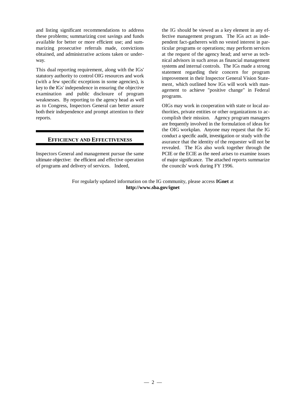and listing significant recommendations to address the IG should be viewed as a key element in any efthese problems; summarizing cost savings and funds fective management program. The IGs act as indeavailable for better or more efficient use; and sum- pendent fact-gatherers with no vested interest in parmarizing prosecutive referrals made, convictions ticular programs or operations; may perform services obtained, and administrative actions taken or under- at the request of the agency head; and serve as techway. nical advisors in such areas as financial management

This dual reporting requirement, along with the IGs' statutory authority to control OIG resources and work (with a few specific exceptions in some agencies), is key to the IGs' independence in ensuring the objective examination and public disclosure of program weaknesses. By reporting to the agency head as well as to Congress, Inspectors General can better assure both their independence and prompt attention to their thorities, private entities or other organizations to acreports. complish their mission. Agency program managers

#### **EFFICIENCY AND EFFECTIVENESS**

Inspectors General and management pursue the same ultimate objective: the efficient and effective operation of programs and delivery of services. Indeed,

systems and internal controls. The IGs made a strong statement regarding their concern for program improvement in their Inspector General Vision Statement, which outlined how IGs will work with management to achieve "positive change" in Federal programs.

OIGs may work in cooperation with state or local auare frequently involved in the formulation of ideas for the OIG workplan. Anyone may request that the IG conduct a specific audit, investigation or study with the asurance that the identity of the requester will not be revealed. The IGs also work together through the PCIE or the ECIE as the need arises to examine issues of major significance. The attached reports summarize the councils' work during FY 1996.

For regularly updated information on the IG community, please access **IGnet** at **http://www.sba.gov/ignet**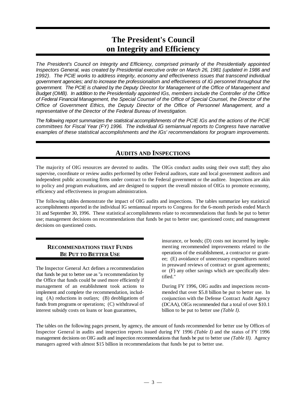## **The President's Council on Integrity and Efficiency**

*The President's Council on Integrity and Efficiency, comprised primarily of the Presidentially appointed Inspectors General, was created by Presidential executive order on March 26, 1981 (updated in 1986 and 1992). The PCIE works to address integrity, economy and effectiveness issues that transcend individual government agencies; and to increase the professionalism and effectiveness of IG personnel throughout the government. The PCIE is chaired by the Deputy Director for Management of the Office of Management and Budget (OMB). In addition to the Presidentially appointed IGs, members include the Controller of the Office of Federal Financial Management, the Special Counsel of the Office of Special Counsel, the Director of the Office of Government Ethics, the Deputy Director of the Office of Personnel Management, and a representative of the Director of the Federal Bureau of Investigation.*

*The following report summarizes the statistical accomplishments of the PCIE IGs and the actions of the PCIE committees for Fiscal Year (FY) 1996. The individual IG semiannual reports to Congress have narrative examples of these statistical accomplishments and the IGs' recommendations for program improvements.*

## **AUDITS AND INSPECTIONS**

The majority of OIG resources are devoted to audits. The OIGs conduct audits using their own staff; they also supervise, coordinate or review audits performed by other Federal auditors, state and local government auditors and independent public accounting firms under contract to the Federal government or the auditee. Inspections are akin to policy and program evaluations, and are designed to support the overall mission of OIGs to promote economy, efficiency and effectiveness in program administration.

The following tables demonstrate the impact of OIG audits and inspections. The tables summarize key statistical accomplishments reported in the individual IG semiannual reports to Congress for the 6-month periods ended March 31 and September 30, 1996. These statistical accomplishments relate to recommendations that funds be put to better use; management decisions on recommendations that funds be put to better use; questioned costs; and management decisions on questioned costs.

#### **RECOMMENDATIONS THAT FUNDS BE PUT TO BETTER USE**

The Inspector General Act defines a recommendation that funds be put to better use as "a recommendation by the Office that funds could be used more efficiently if management of an establishment took actions to implement and complete the recommendation, including (A) reductions in outlays; (B) deobligations of funds from programs or operations; (C) withdrawal of interest subsidy costs on loans or loan guarantees,

insurance, or bonds; (D) costs not incurred by implementing recommended improvements related to the operations of the establishment, a contractor or grantee; (E) avoidance of unnecessary expenditures noted in preaward reviews of contract or grant agreements; or (F) any other savings which are specifically identified."

During FY 1996, OIG audits and inspections recommended that over \$5.8 billion be put to better use. In conjunction with the Defense Contract Audit Agency (DCAA), OIGs recommended that a total of over \$10.1 billion to be put to better use *(Table I).*

The tables on the following pages present, by agency, the amount of funds recommended for better use by Offices of Inspector General in audits and inspection reports issued during FY 1996 *(Table I)* and the status of FY 1996 management decisions on OIG audit and inspection recommendations that funds be put to better use *(Table II)*. Agency managers agreed with almost \$15 billion in recommendations that funds be put to better use.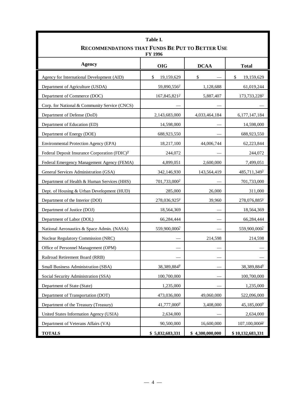| Table I.<br>RECOMMENDATIONS THAT FUNDS BE PUT TO BETTER USE<br>FY 1996 |                           |                 |                             |  |  |
|------------------------------------------------------------------------|---------------------------|-----------------|-----------------------------|--|--|
| <b>Agency</b>                                                          | <b>OIG</b>                | <b>DCAA</b>     | <b>Total</b>                |  |  |
| Agency for International Development (AID)                             | \$<br>19,159,629          | \$              | \$<br>19,159,629            |  |  |
| Department of Agriculture (USDA)                                       | 59,890,556 <sup>1/</sup>  | 1,128,688       | 61,019,244                  |  |  |
| Department of Commerce (DOC)                                           | $167,845,821^{27}$        | 5,887,407       | 173,733,228 <sup>3/</sup>   |  |  |
| Corp. for National & Community Service (CNCS)                          |                           |                 |                             |  |  |
| Department of Defense (DoD)                                            | 2,143,683,000             | 4,033,464,184   | 6,177,147,184               |  |  |
| Department of Education (ED)                                           | 14,598,000                |                 | 14,598,000                  |  |  |
| Department of Energy (DOE)                                             | 688,923,550               |                 | 688,923,550                 |  |  |
| <b>Environmental Protection Agency (EPA)</b>                           | 18,217,100                | 44,006,744      | 62,223,844                  |  |  |
| Federal Deposit Insurance Corporation (FDIC) <sup>4/</sup>             | 244,072                   |                 | 244,072                     |  |  |
| Federal Emergency Management Agency (FEMA)                             | 4,899,051                 | 2,600,000       | 7,499,051                   |  |  |
| General Services Administration (GSA)                                  | 342,146,930               | 143,564,419     | 485,711,3495/               |  |  |
| Department of Health & Human Services (HHS)                            | 701,733,000 <sup>2/</sup> |                 | 701,733,000                 |  |  |
| Dept. of Housing & Urban Development (HUD)                             | 285,000                   | 26,000          | 311,000                     |  |  |
| Department of the Interior (DOI)                                       | 278,036,9256              | 39,960          | 278,076,8856                |  |  |
| Department of Justice (DOJ)                                            | 18,564,369                |                 | 18,564,369                  |  |  |
| Department of Labor (DOL)                                              | 66,284,444                |                 | 66,284,444                  |  |  |
| National Aeronautics & Space Admin. (NASA)                             | 559,900,000 <sup>2/</sup> |                 | 559,900,000 <sup>2/</sup>   |  |  |
| Nuclear Regulatory Commission (NRC)                                    |                           | 214,598         | 214,598                     |  |  |
| Office of Personnel Management (OPM)                                   |                           |                 |                             |  |  |
| Railroad Retirement Board (RRB)                                        |                           |                 |                             |  |  |
| Small Business Administration (SBA)                                    | 38,389,8848               |                 | 38,389,8848                 |  |  |
| Social Security Administration (SSA)                                   | 100,700,000               |                 | 100,700,000                 |  |  |
| Department of State (State)                                            | 1,235,000                 |                 | 1,235,000                   |  |  |
| Department of Transportation (DOT)                                     | 473,036,000               | 49,060,000      | 522,096,000                 |  |  |
| Department of the Treasury (Treasury)                                  | 41,777,000 <sup>9/</sup>  | 3,408,000       | 45,185,000 <sup>9/</sup>    |  |  |
| United States Information Agency (USIA)                                | 2,634,000                 |                 | 2,634,000                   |  |  |
| Department of Veterans Affairs (VA)                                    | 90,500,000                | 16,600,000      | $107,100,000$ <sup>10</sup> |  |  |
| <b>TOTALS</b>                                                          | \$5,832,683,331           | \$4,300,000,000 | \$10,132,683,331            |  |  |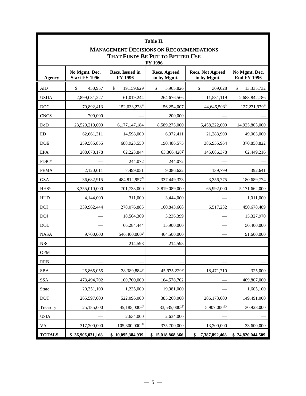| Table II.<br><b>MANAGEMENT DECISIONS ON RECOMMENDATIONS</b><br>THAT FUNDS BE PUT TO BETTER USE<br>FY 1996 |                                                                                                                                                                                            |                                                 |                          |                          |                           |  |
|-----------------------------------------------------------------------------------------------------------|--------------------------------------------------------------------------------------------------------------------------------------------------------------------------------------------|-------------------------------------------------|--------------------------|--------------------------|---------------------------|--|
| <b>Agency</b>                                                                                             | Recs. Issued in<br><b>Recs. Agreed</b><br><b>Recs. Not Agreed</b><br>No Mgmt. Dec.<br>No Mgmt. Dec.<br><b>Start FY 1996</b><br>FY 1996<br>to by Mgmt.<br><b>End FY 1996</b><br>to by Mgmt. |                                                 |                          |                          |                           |  |
| <b>AID</b>                                                                                                | \$<br>450,957                                                                                                                                                                              | \$<br>19,159,629                                | \$<br>5,965,826          | \$<br>309,028            | \$<br>13,335,732          |  |
| <b>USDA</b>                                                                                               | 2,899,031,227                                                                                                                                                                              | 61,019,244                                      | 264,676,566              | 11,531,119               | 2,683,842,786             |  |
| <b>DOC</b>                                                                                                | 70,892,413                                                                                                                                                                                 | $152,633,228$ <sup>1/</sup>                     | 56,254,007               | 44,646,503 <sup>2/</sup> | 127,231,979 <sup>2/</sup> |  |
| <b>CNCS</b>                                                                                               | 200,000                                                                                                                                                                                    |                                                 | 200,000                  |                          |                           |  |
| DoD                                                                                                       | 23,529,219,000                                                                                                                                                                             | 6,177,147,184                                   | 8,589,275,000            | 6,458,322,000            | 14,925,805,000            |  |
| ED                                                                                                        | 62,661,311                                                                                                                                                                                 | 14,598,000                                      | 6,972,411                | 21,283,900               | 49,003,000                |  |
| <b>DOE</b>                                                                                                | 259,585,855                                                                                                                                                                                | 688,923,550                                     | 190,486,575              | 386,955,964              | 370,858,822               |  |
| EPA                                                                                                       | 208, 678, 178                                                                                                                                                                              | 62,223,844                                      | 63,366,428 <sup>3/</sup> | 145,086,378              | 62,449,216                |  |
| FDIC <sup>4</sup>                                                                                         |                                                                                                                                                                                            | 244,072                                         | 244,072                  |                          |                           |  |
| <b>FEMA</b>                                                                                               | 2,120,011                                                                                                                                                                                  | 7,499,051                                       | 9,086,622                | 139,799                  | 392,641                   |  |
| <b>GSA</b>                                                                                                | 36,682,915                                                                                                                                                                                 | 484,812,9575/                                   | 337,449,323              | 3,356,775                | 180,689,774               |  |
| $\rm HHS^{6'}$                                                                                            | 8,355,010,000                                                                                                                                                                              | 701,733,000                                     | 3,819,089,000            | 65,992,000               | 5,171,662,000             |  |
| <b>HUD</b>                                                                                                | 4,144,000                                                                                                                                                                                  | 311,000                                         | 3,444,000                |                          | 1,011,000                 |  |
| <b>DOI</b>                                                                                                | 339,962,444                                                                                                                                                                                | 278,076,885                                     | 160,843,608              | 6,517,232                | 450,678,489               |  |
| <b>DOJ</b>                                                                                                |                                                                                                                                                                                            | 18,564,369                                      | 3,236,399                |                          | 15,327,970                |  |
| <b>DOL</b>                                                                                                |                                                                                                                                                                                            | 66,284,444                                      | 15,900,000               |                          | 50,400,000                |  |
| <b>NASA</b>                                                                                               | 9,700,000                                                                                                                                                                                  | 546,400,000 <sup><math>\frac{7}{2}</math></sup> | 464,500,000              |                          | 91,600,000                |  |
| <b>NRC</b>                                                                                                |                                                                                                                                                                                            | 214,598                                         | 214,598                  |                          |                           |  |
| <b>OPM</b>                                                                                                |                                                                                                                                                                                            |                                                 |                          |                          |                           |  |
| <b>RRB</b>                                                                                                |                                                                                                                                                                                            |                                                 |                          |                          |                           |  |
| SBA                                                                                                       | 25,865,055                                                                                                                                                                                 | 38,389,8848                                     | 45,975,2299              | 18,471,710               | 325,000                   |  |
| <b>SSA</b>                                                                                                | 473,494,702                                                                                                                                                                                | 100,700,000                                     | 164,578,702              |                          | 409,807,000               |  |
| State                                                                                                     | 20,351,100                                                                                                                                                                                 | 1,235,000                                       | 19,981,000               |                          | 1,605,100                 |  |
| <b>DOT</b>                                                                                                | 265,597,000                                                                                                                                                                                | 522,096,000                                     | 385,260,000              | 206,173,000              | 149,491,000               |  |
| Treasury                                                                                                  | 25,185,000                                                                                                                                                                                 | 45,185,000 <sup>10</sup>                        | 33,535,000 $11/$         | 5,907,00010/             | 30,928,000                |  |
| <b>USIA</b>                                                                                               |                                                                                                                                                                                            | 2,634,000                                       | 2,634,000                |                          |                           |  |
| VA                                                                                                        | 317,200,000                                                                                                                                                                                | $105,300,000$ <sup>12/</sup>                    | 375,700,000              | 13,200,000               | 33,600,000                |  |
| <b>TOTALS</b>                                                                                             | \$36,906,031,168                                                                                                                                                                           | \$10,095,384,939                                | \$15,018,868,366         | \$<br>7,387,892,408      | \$24,820,044,509          |  |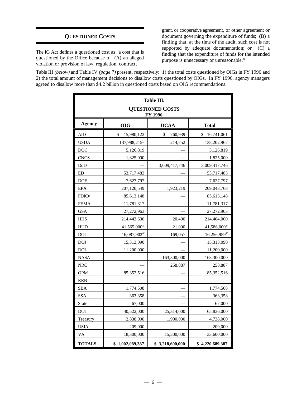#### **QUESTIONED COSTS**

The IG Act defines a questioned cost as "a cost that is questioned by the Office because of (A) an alleged violation or provision of law, regulation, contract,

grant, or cooperative agreement, or other agreement or document governing the expenditure of funds; (B) a finding that, at the time of the audit, such cost is not supported by adequate documentation; or (C) a finding that the expenditure of funds for the intended purpose is unnecessary or unreasonable."

Table III *(below)* and Table IV *(page 7)* present, respectively: 1) the total costs questioned by OIGs in FY 1996 and 2) the total amount of management decisions to disallow costs questioned by OIGs. In FY 1996, agency managers agreed to disallow more than \$4.2 billion in questioned costs based on OIG recommendations.

| <b>Table III.</b><br><b>QUESTIONED COSTS</b><br>FY 1996                |                                           |               |                   |  |  |  |
|------------------------------------------------------------------------|-------------------------------------------|---------------|-------------------|--|--|--|
| <b>Agency</b>                                                          | <b>OIG</b><br><b>DCAA</b><br><b>Total</b> |               |                   |  |  |  |
| AID                                                                    | \$<br>15,980,122                          | \$<br>760,939 | \$<br>16,741,061  |  |  |  |
| <b>USDA</b>                                                            | 137,988,2151/                             | 214,752       | 138,202,967       |  |  |  |
| <b>DOC</b>                                                             | 5,126,819                                 |               | 5,126,819         |  |  |  |
| <b>CNCS</b>                                                            | 1,825,000                                 |               | 1,825,000         |  |  |  |
| DoD                                                                    |                                           | 3,009,417,746 | 3,009,417,746     |  |  |  |
| <b>ED</b>                                                              | 53,717,483                                |               | 53,717,483        |  |  |  |
| <b>DOE</b>                                                             | 7,627,797                                 |               | 7,627,797         |  |  |  |
| <b>EPA</b>                                                             | 207,120,549                               | 1,923,219     | 209,043,768       |  |  |  |
| FDIC <sup>2</sup>                                                      | 85,613,148                                |               | 85,613,148        |  |  |  |
| <b>FEMA</b>                                                            | 11,781,317                                |               | 11,781,317        |  |  |  |
| <b>GSA</b>                                                             | 27,272,963                                |               | 27,272,963        |  |  |  |
| <b>HHS</b>                                                             | 214,443,600                               | 20,400        | 214,464,000       |  |  |  |
| <b>HUD</b>                                                             | $41,565,000^{3/2}$                        | 21,000        | $41,586,000^{37}$ |  |  |  |
| <b>DOI</b>                                                             | 16,087,9024                               | 169,057       | $16,256,959^{47}$ |  |  |  |
| <b>DOJ</b>                                                             | 15,313,090                                |               | 15,313,090        |  |  |  |
| <b>DOL</b>                                                             | 11,200,000                                |               | 11,200,000        |  |  |  |
| <b>NASA</b>                                                            |                                           | 163,300,000   | 163,300,000       |  |  |  |
| <b>NRC</b>                                                             |                                           | 258,887       | 258,887           |  |  |  |
| <b>OPM</b>                                                             | 85,352,516                                |               | 85,352,516        |  |  |  |
| <b>RRB</b>                                                             |                                           |               |                   |  |  |  |
| <b>SBA</b>                                                             | 1,774,508                                 |               | 1,774,508         |  |  |  |
| <b>SSA</b>                                                             | 363,358                                   |               | 363,358           |  |  |  |
| State                                                                  | 67,000                                    |               | 67,000            |  |  |  |
| <b>DOT</b>                                                             | 40,522,000                                | 25,314,000    | 65,836,000        |  |  |  |
| Treasury                                                               | 2,838,000                                 | 1,900,000     | 4,738,000         |  |  |  |
| <b>USIA</b>                                                            | 209,000                                   |               | 209,000           |  |  |  |
| <b>VA</b>                                                              | 18,300,000                                | 15,300,000    | 33,600,000        |  |  |  |
| <b>TOTALS</b><br>\$1,002,089,387<br>\$3,218,600,000<br>\$4,220,689,387 |                                           |               |                   |  |  |  |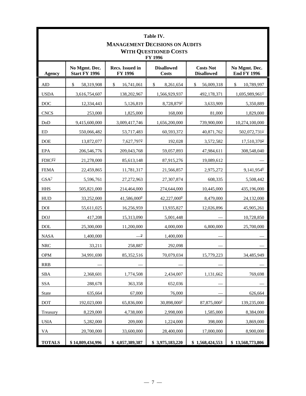|                      | Table IV.<br><b>MANAGEMENT DECISIONS ON AUDITS</b><br><b>WITH QUESTIONED COSTS</b><br>FY 1996 |                           |                            |                          |                               |  |  |
|----------------------|-----------------------------------------------------------------------------------------------|---------------------------|----------------------------|--------------------------|-------------------------------|--|--|
| <b>Agency</b>        | No Mgmt. Dec.<br><b>End FY 1996</b>                                                           |                           |                            |                          |                               |  |  |
| <b>AID</b>           | \$<br>58,319,908                                                                              | \$<br>16,741,061          | \$<br>8,261,654            | \$<br>56,009,318         | \$<br>10,789,997              |  |  |
| <b>USDA</b>          | 3,616,754,607                                                                                 | 138,202,967               | 1,566,929,937              | 492,178,371              | $1,695,989,961$ <sup>1/</sup> |  |  |
| <b>DOC</b>           | 12,334,443                                                                                    | 5,126,819                 | 8,728,879 <sup>2/</sup>    | 3,633,909                | 5,350,889                     |  |  |
| <b>CNCS</b>          | 253,000                                                                                       | 1,825,000                 | 168,000                    | 81,000                   | 1,829,000                     |  |  |
| DoD                  | 9,415,600,000                                                                                 | 3,009,417,746             | 1,656,200,000              | 739,900,000              | 10,274,100,000                |  |  |
| ED                   | 550,066,482                                                                                   | 53,717,483                | 60,593,372                 | 40,871,762               | 502,072,731 $\frac{1}{2}$     |  |  |
| <b>DOE</b>           | 13,872,077                                                                                    | $7,627,797^{\frac{3}{2}}$ | 192,028                    | 3,572,582                | 17,510,370 <sup>3</sup>       |  |  |
| <b>EPA</b>           | 206,546,776                                                                                   | 209,043,768               | 59,057,893                 | 47,984,611               | 308,548,040                   |  |  |
| FDIC <sup>4/5/</sup> | 21,278,000                                                                                    | 85,613,148                | 87,915,276                 | 19,089,612               |                               |  |  |
| <b>FEMA</b>          | 22,459,865                                                                                    | 11,781,317                | 21,566,857                 | 2,975,272                | $9,141,954^{\circ}$           |  |  |
| $GSA^2$              | 5,596,761                                                                                     | 27,272,963                | 27,307,874                 | 608,335                  | 5,508,442                     |  |  |
| <b>HHS</b>           | 505,821,000                                                                                   | 214,464,000               | 274,644,000                | 10,445,000               | 435,196,000                   |  |  |
| <b>HUD</b>           | 33,252,000                                                                                    | 41,586,000 <sup>8/</sup>  | $42,227,000$ <sup>8/</sup> | 8,479,000                | 24,132,000                    |  |  |
| <b>DOI</b>           | 55,611,025                                                                                    | 16,256,959                | 13,935,827                 | 12,026,896               | 45,905,261                    |  |  |
| <b>DOJ</b>           | 417,208                                                                                       | 15,313,090                | 5,001,448                  |                          | 10,728,850                    |  |  |
| <b>DOL</b>           | 25,300,000                                                                                    | 11,200,000                | 4,000,000                  | 6,800,000                | 25,700,000                    |  |  |
| <b>NASA</b>          | 1,400,000                                                                                     | 9/                        | 1,400,000                  |                          |                               |  |  |
| <b>NRC</b>           | 33,211                                                                                        | 258,887                   | 292,098                    |                          |                               |  |  |
| <b>OPM</b>           | 34,991,690                                                                                    | 85,352,516                | 70,079,034                 | 15,779,223               | 34,485,949                    |  |  |
| <b>RRB</b>           |                                                                                               |                           |                            |                          |                               |  |  |
| <b>SBA</b>           | 2,368,601                                                                                     | 1,774,508                 | 2,434,007                  | 1,131,662                | 769,698                       |  |  |
| <b>SSA</b>           | 288,678                                                                                       | 363,358                   | 652,036                    |                          |                               |  |  |
| <b>State</b>         | 635,664                                                                                       | 67,000                    | 76,000                     |                          | 626,664                       |  |  |
| DOT                  | 192,023,000                                                                                   | 65,836,000                | 30,898,000 <sup>2/</sup>   | 87,875,000 <sup>2/</sup> | 139,235,000                   |  |  |
| Treasury             | 8,229,000                                                                                     | 4,738,000                 | 2,998,000                  | 1,585,000                | 8,384,000                     |  |  |
| <b>USIA</b>          | 5,282,000                                                                                     | 209,000                   | 1,224,000                  | 398,000                  | 3,869,000                     |  |  |
| <b>VA</b>            | 20,700,000                                                                                    | 33,600,000                | 28,400,000                 | 17,000,000               | 8,900,000                     |  |  |
| <b>TOTALS</b>        | \$14,809,434,996                                                                              | \$4,057,389,387           | \$3,975,183,220            | \$1,568,424,553          | \$13,568,773,806              |  |  |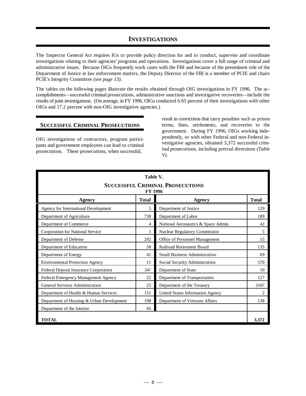#### **INVESTIGATIONS**

The Inspector General Act requires IGs to provide policy direction for and to conduct, supervise and coordinate investigations relating to their agencies' programs and operations. Investigations cover a full range of criminal and administrative issues. Because OIGs frequently work cases with the FBI and because of the preeminent role of the Department of Justice in law enforcement matters, the Deputy Director of the FBI is a member of PCIE and chairs PCIE's Integrity Committee *(see page 13)*.

The tables on the following pages illustrate the results obtained through OIG investigations in FY 1996. The accomplishments— successful criminal prosecutions, administrative sanctions and investigative recoveries— include the results of joint investigations. (On average, in FY 1996, OIGs conducted 6.65 percent of their investigations with other OIGs and 17.2 percent with non-OIG investigative agencies.)

#### **SUCCESSFUL CRIMINAL PROSECUTIONS**

OIG investigations of contractors, program participants and government employees can lead to criminal prosecutions. These prosecutions, when successful,

result in convictions that carry penalties such as prison terms, fines, settlements, and recoveries to the government. During FY 1996, OIGs working independently, or with other Federal and non-Federal investigative agencies, obtained 3,372 successful criminal prosecutions, including pretrial diversions *(Table V)*.

| Table V.<br><b>SUCCESSFUL CRIMINAL PROSECUTIONS</b><br>FY 1996 |            |                                      |                |  |  |
|----------------------------------------------------------------|------------|--------------------------------------|----------------|--|--|
| <b>Total</b><br><b>Total</b><br>Agency<br>Agency               |            |                                      |                |  |  |
| Agency for International Development                           | 5          | Department of Justice                | 129            |  |  |
| Department of Agriculture                                      | 738        | Department of Labor                  | 189            |  |  |
| Department of Commerce                                         | 4          | National Aeronautics & Space Admin.  | 42             |  |  |
| <b>Corporation for National Service</b>                        |            | <b>Nuclear Regulatory Commission</b> | 5              |  |  |
| Department of Defense                                          | 292        | Office of Personnel Management       | 15             |  |  |
| Department of Education<br>58<br>Railroad Retirement Board     |            | 135                                  |                |  |  |
| Department of Energy                                           | 41         | <b>Small Business Administration</b> | 69             |  |  |
| <b>Environmental Protection Agency</b>                         | 11         | Social Security Administration       | 570            |  |  |
| Federal Deposit Insurance Corporation                          | $34^{1/2}$ | Department of State                  | 10             |  |  |
| Federal Emergency Management Agency                            | 22         | Department of Transportation         | 127            |  |  |
| General Services Administration                                | 25         | Department of the Treasury           | $316^{27}$     |  |  |
| Department of Health & Human Services                          | 151        | United States Information Agency     | $\mathfrak{D}$ |  |  |
| Department of Housing & Urban Development                      | 198        | Department of Veterans Affairs       | 138            |  |  |
| Department of the Interior<br>45                               |            |                                      |                |  |  |
| <b>TOTAL</b>                                                   |            |                                      | 3,372          |  |  |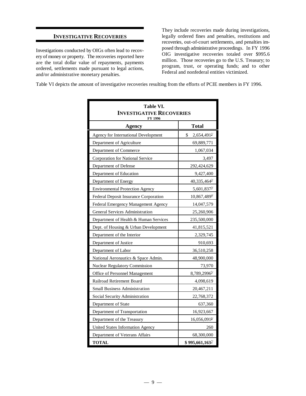#### **INVESTIGATIVE RECOVERIES**

Investigations conducted by OIGs often lead to recovery of money or property. The recoveries reported here are the total dollar value of repayments, payments ordered, settlements made pursuant to legal actions, and/or administrative monetary penalties.

They include recoveries made during investigations, legally ordered fines and penalties, restitutions and recoveries, out-of-court settlements, and penalties imposed through administrative proceedings. In FY 1996 OIG investigative recoveries totaled over \$995.6 million. Those recoveries go to the U.S. Treasury; to program, trust, or operating funds; and to other Federal and nonfederal entities victimized.

Table VI depicts the amount of investigative recoveries resulting from the efforts of PCIE members in FY 1996.

| Table VI.<br><b>INVESTIGATIVE RECOVERIES</b><br>FY 1996 |                               |  |  |
|---------------------------------------------------------|-------------------------------|--|--|
| <b>Agency</b>                                           | <b>Total</b>                  |  |  |
| Agency for International Development                    | 2,654,491 <sup>1/</sup><br>\$ |  |  |
| Department of Agriculture                               | 69,889,771                    |  |  |
| Department of Commerce                                  | 1,067,034                     |  |  |
| Corporation for National Service                        | 3,497                         |  |  |
| Department of Defense                                   | 292,424,629                   |  |  |
| Department of Education                                 | 9,427,400                     |  |  |
| Department of Energy                                    | $40,335,464^{\frac{2}{5}}$    |  |  |
| <b>Environmental Protection Agency</b>                  | 5,601,837 <sup>3/</sup>       |  |  |
| Federal Deposit Insurance Corporation                   | 10,867,4894                   |  |  |
| Federal Emergency Management Agency                     | 14,047,579                    |  |  |
| <b>General Services Administration</b>                  | 25,260,906                    |  |  |
| Department of Health & Human Services                   | 235,500,000                   |  |  |
| Dept. of Housing & Urban Development                    | 41,815,521                    |  |  |
| Department of the Interior                              | 2,329,745                     |  |  |
| Department of Justice                                   | 910,693                       |  |  |
| Department of Labor                                     | 36,510,258                    |  |  |
| National Aeronautics & Space Admin.                     | 48,900,000                    |  |  |
| <b>Nuclear Regulatory Commission</b>                    | 73,970                        |  |  |
| Office of Personnel Management                          | 8,789,29965/                  |  |  |
| Railroad Retirement Board                               | 4,098,619                     |  |  |
| <b>Small Business Administration</b>                    | 20,467,211                    |  |  |
| Social Security Administration                          | 22,768,372                    |  |  |
| Department of State                                     | 637,360                       |  |  |
| Department of Transportation                            | 16,923,667                    |  |  |
| Department of the Treasury                              | 16,056,091 <sup>6/</sup>      |  |  |
| United States Information Agency                        | 260                           |  |  |
| Department of Veterans Affairs                          | 68,300,000                    |  |  |
| <b>TOTAL</b>                                            | $$995,661,163$ <sup>1/</sup>  |  |  |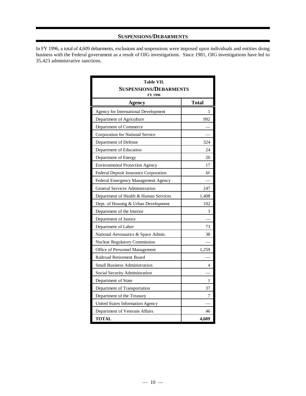#### **SUSPENSIONS/DEBARMENTS**

In FY 1996, a total of 4,609 debarments, exclusions and suspensions were imposed upon individuals and entities doing business with the Federal government as a result of OIG investigations. Since 1981, OIG investigations have led to 35,423 administrative sanctions.

| Table VII.<br><b>SUSPENSIONS/DEBARMENTS</b><br>FY 1996 |              |  |  |  |
|--------------------------------------------------------|--------------|--|--|--|
| <b>Agency</b>                                          | <b>Total</b> |  |  |  |
| Agency for International Development                   | 1            |  |  |  |
| Department of Agriculture                              | 992          |  |  |  |
| Department of Commerce                                 |              |  |  |  |
| Corporation for National Service                       |              |  |  |  |
| Department of Defense                                  | 324          |  |  |  |
| Department of Education                                | 24           |  |  |  |
| Department of Energy                                   | 20           |  |  |  |
| <b>Environmental Protection Agency</b>                 | 17           |  |  |  |
| Federal Deposit Insurance Corporation                  | $6^{1/2}$    |  |  |  |
| Federal Emergency Management Agency                    |              |  |  |  |
| <b>General Services Administration</b>                 | 247          |  |  |  |
| Department of Health & Human Services                  | 1,408        |  |  |  |
| Dept. of Housing & Urban Development                   | 102          |  |  |  |
| Department of the Interior                             | 3            |  |  |  |
| Department of Justice                                  |              |  |  |  |
| Department of Labor                                    | 73           |  |  |  |
| National Aeronautics & Space Admin.                    | 38           |  |  |  |
| <b>Nuclear Regulatory Commission</b>                   |              |  |  |  |
| Office of Personnel Management                         | 1,259        |  |  |  |
| Railroad Retirement Board                              |              |  |  |  |
| <b>Small Business Administration</b>                   | 4            |  |  |  |
| Social Security Administration                         |              |  |  |  |
| Department of State                                    | 1            |  |  |  |
| Department of Transportation                           | 37           |  |  |  |
| Department of the Treasury                             | 7            |  |  |  |
| <b>United States Information Agency</b>                |              |  |  |  |
| Department of Veterans Affairs                         | 46           |  |  |  |
| <b>TOTAL</b>                                           | 4,609        |  |  |  |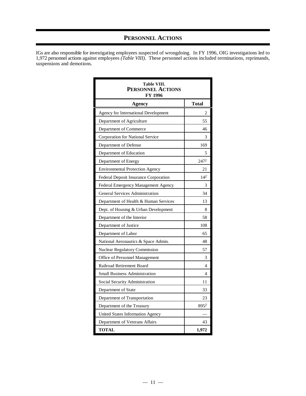## **PERSONNEL ACTIONS**

IGs are also responsible for investigating employees suspected of wrongdoing. In FY 1996, OIG investigations led to 1,972 personnel actions against employees *(Table VIII)*. These personnel actions included terminations, reprimands, suspensions and demotions.

| Table VIII.<br><b>PERSONNEL ACTIONS</b><br>FY 1996 |                     |
|----------------------------------------------------|---------------------|
| <b>Agency</b>                                      | Total               |
| Agency for International Development               | $\overline{c}$      |
| Department of Agriculture                          | 55                  |
| Department of Commerce                             | 46                  |
| Corporation for National Service                   | 3                   |
| Department of Defense                              | 169                 |
| Department of Education                            | 5                   |
| Department of Energy                               | $247$ <sup>1/</sup> |
| <b>Environmental Protection Agency</b>             | 21                  |
| Federal Deposit Insurance Corporation              | $14^{27}$           |
| Federal Emergency Management Agency                | 3                   |
| <b>General Services Administration</b>             | 34                  |
| Department of Health & Human Services              | 13                  |
| Dept. of Housing & Urban Development               | 8                   |
| Department of the Interior                         | 58                  |
| Department of Justice                              | 108                 |
| Department of Labor                                | 65                  |
| National Aeronautics & Space Admin.                | 48                  |
| <b>Nuclear Regulatory Commission</b>               | 57                  |
| Office of Personnel Management                     | 3                   |
| Railroad Retirement Board                          | 4                   |
| <b>Small Business Administration</b>               | 4                   |
| Social Security Administration                     | 11                  |
| Department of State                                | 33                  |
| Department of Transportation                       | 23                  |
| Department of the Treasury                         | $895^{3/2}$         |
| United States Information Agency                   |                     |
| Department of Veterans Affairs                     | 43                  |
| <b>TOTAL</b>                                       | 1,972               |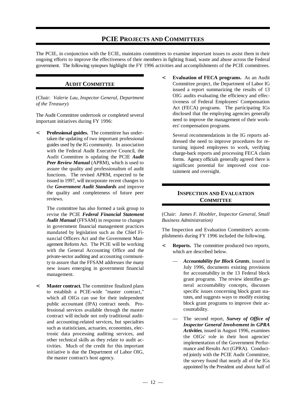#### **PCIE PROJECTS AND COMMITTEES**

The PCIE, in conjunction with the ECIE, maintains committees to examine important issues to assist them in their ongoing efforts to improve the effectiveness of their members in fighting fraud, waste and abuse across the Federal government. The following synopses highlight the FY 1996 activities and accomplishments of the PCIE committees.

#### **AUDIT COMMITTEE**

(Chair: *Valerie Lau, Inspector General, Department of the Treasury*)

The Audit Committee undertook or completed several important initiatives during FY 1996:

< **Professional guides.** The committee has undertaken the updating of two important professional guides used by the IG community. In association with the Federal Audit Executive Council, the Audit Committee is updating the PCIE *Audit Peer Review Manual* (APRM), which is used to assure the quality and professionalism of audit functions. The revised APRM, expected to be issued in 1997, will incorporate recent changes to the *Government Audit Standards* and improve the quality and completeness of future peer reviews.

The committee has also formed a task group to revise the PCIE *Federal Financial Statement Audit Manual* (FFSAM) in response to changes in government financial management practices mandated by legislation such as the Chief Financial Officers Act and the Government Management Reform Act. The PCIE will be working with the General Accounting Office and the private-sector auditing and accounting community to assure that the FFSAM addresses the many new issues emerging in government financial management.

< **Master contract.** The committee finalized plans to establish a PCIE-wide "master contract," which all OIGs can use for their independent public accountant (IPA) contract needs. Professional services available through the master contract will include not only traditional auditand accounting-related services, but specialties such as statisticians, actuaries, economists, electronic data processing auditing services, and other technical skills as they relate to audit activities. Much of the credit for this important initiative is due the Department of Labor OIG, the master contract's host agency.

< **Evaluation of FECA programs.** As an Audit Committee project, the Department of Labor IG issued a report summarizing the results of 13 OIG audits evaluating the efficiency and effectiveness of Federal Employees' Compensation Act (FECA) programs. The participating IGs disclosed that the employing agencies generally need to improve the management of their workers' compensation programs.

Several recommendations in the IG reports addressed the need to improve procedures for returning injured employees to work, verifying charge-back reports and processing FECA claim forms. Agency officials generally agreed there is significant potential for improved cost containment and oversight.

#### **INSPECTION AND EVALUATION COMMITTEE**

(Chair: *James F. Hoobler, Inspector General, Small Business Administration)*

The Inspection and Evaluation Committee's accomplishments during FY 1996 included the following.

- < **Reports.** The committee produced two reports, which are described below.
	- *Accountability for Block Grants*, issued in July 1996, documents existing provisions for accountability in the 13 Federal block grant programs. The review identifies general accountability concepts, discusses specific issues concerning block grant statutes, and suggests ways to modify existing block grant programs to improve their accountability.
	- The second report, *Survey of Office of Inspector General Involvement in GPRA Activities*, issued in August 1996, examines the OIGs' role in their host agencies' implementation of the Government Performance and Results Act (GPRA). Conducted jointly with the PCIE Audit Committee, the survey found that nearly all of the IGs appointed by the President and about half of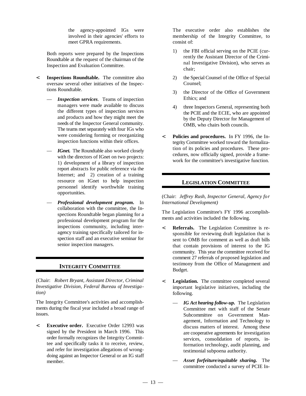meet GPRA requirements. consist of:

Both reports were prepared by the Inspections Roundtable at the request of the chairman of the Inspection and Evaluation Committee.

- < **Inspections Roundtable.** The committee also oversaw several other initiatives of the Inspections Roundtable.
	- *Inspection services*. Teams of inspection managers were made available to discuss the different types of inspection services and products and how they might meet the needs of the Inspector General community. The teams met separately with four IGs who were considering forming or reorganizing inspection functions within their offices.
	- *IGnet.* The Roundtable also worked closely with the directors of IGnet on two projects: 1) development of a library of inspection report abstracts for public reference via the Internet; and 2) creation of a training resource on IGnet to help inspection personnel identify worthwhile training opportunities.
	- *Professional development program.* In collaboration with the committee, the Inspections Roundtable began planning for a professional development program for the inspections community, including interagency training specifically tailored for inspection staff and an executive seminar for senior inspection managers.

#### **INTEGRITY COMMITTEE**

(Chair: *Robert Bryant, Assistant Director, Criminal Investigative Division, Federal Bureau of Investigation)*

The Integrity Committee's activities and accomplishments during the fiscal year included a broad range of issues.

< **Executive order.** Executive Order 12993 was signed by the President in March 1996. This order formally recognizes the Integrity Committee and specifically tasks it to receive, review, and refer for investigation allegations of wrongdoing against an Inspector General or an IG staff member.

the agency-appointed IGs were The executive order also establishes the involved in their agencies' efforts to membership of the Integrity Committee, to

- 1) the FBI official serving on the PCIE (currently the Assistant Director of the Criminal Investigative Division), who serves as chair;
- 2) the Special Counsel of the Office of Special Counsel;
- 3) the Director of the Office of Government Ethics; and
- 4) three Inspectors General, representing both the PCIE and the ECIE, who are appointed by the Deputy Director for Management of OMB, who chairs both councils.
- < **Policies and procedures.** In FY 1996, the Integrity Committee worked toward the formalization of its policies and procedures. These procedures, now officially signed, provide a framework for the committee's investigative function.

#### **LEGISLATION COMMITTEE**

(Chair: *Jeffrey Rush, Inspector General, Agency for International Development)*

The Legislation Committee's FY 1996 accomplishments and activities included the following.

- < **Referrals.** The Legislation Committee is responsible for reviewing draft legislation that is sent to OMB for comment as well as draft bills that contain provisions of interest to the IG community. This year the committee received for comment 27 referrals of proposed legislation and testimony from the Office of Management and Budget.
- < **Legislation.** The committee completed several important legislative initiatives, including the following.
	- *IG Act hearing follow-up.* The Legislation Committee met with staff of the Senate Subcommittee on Government Management, Information and Technology to discuss matters of interest. Among these are cooperative agreements for investigation services, consolidation of reports, information technology, audit planning, and testimonial subpoena authority.
	- *Asset forfeiture/equitable sharing.* The committee conducted a survey of PCIE In-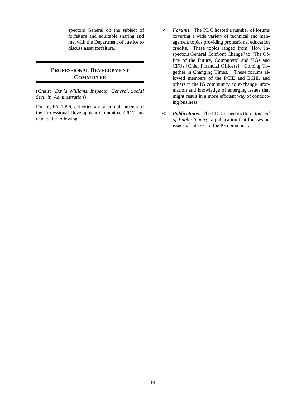#### **PROFESSIONAL DEVELOPMENT COMMITTEE**

(Chair: *David Williams, Inspector General, Social Security Administration*)

During FY 1996, activities and accomplishments of the Professional Development Committee (PDC) included the following.

- spectors General on the subject of < *Forums.* The PDC hosted a number of forums forfeiture and equitable sharing and covering a wide variety of technical and manmet with the Department of Justice to agement topics providing professional education discuss asset forfeiture. credits. These topics ranged from "How Inspectors General Confront Change" to "The Office of the Future, Computers" and "IGs and CFOs [Chief Financial Officers]: Coming Together in Changing Times." These forums allowed members of the PCIE and ECIE, and others in the IG community, to exchange information and knowledge of emerging issues that might result in a more efficient way of conducting business.
	- < *Publications.* The PDC issued its third *Journal of Public Inquiry*, a publication that focuses on issues of interest to the IG community.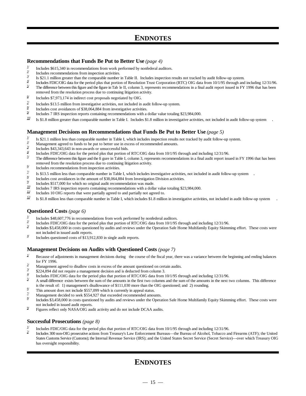## **ENDNOTES**

#### **Recommendations that Funds Be Put to Better Use** *(page 4)*

- $\frac{1}{2}$  Includes \$615,340 in recommendations from work performed by nonfederal auditors.
- $\frac{2}{3}$  Includes recommendations from inspection activities.
- Is \$21.1 million greater than the comparable number in Table II. Includes inspection results not tracked by audit follow-up system.
- Includes FDIC/OIG data for the period plus that portion of Resolution Trust Corporation (RTC) OIG data from 10/1/95 through and including 12/31/96. The difference between this figure and the figure in Tab le II, column 3
- The difference between this figure and the figure in Tab le II, column 3, represents recommendations in a final audit report issued in FY 1996 that has been removed from the resolution process due to continuing litigation activity.
- $\frac{6}{ }$  Includes \$7,973,174 in indirect cost proposals negotiated by OIG.
- Includes \$13.5 million from investigative activities, not included in audit follow-up system.
- Includes cost avoidances of \$38,064,884 from investigative activities.
- Includes 7 IRS inspection reports containing recommendations with a dollar value totaling \$23,984,000.
- Is \$1.8 million greater than comparable number in Table I. Includes \$1.8 million in investigative activities, not included in audit follow-up system . 10/

#### **Management Decisions on Recommendations that Funds Be Put to Better Use** *(page 5)*

- Is \$21.1 million less than comparable number in Table I, which includes inspection results not tracked by audit follow-up system.
- Management agreed to funds to be put to better use in excess of recommended amounts.<br> $\frac{3}{2}$  Lightles \$42,242,642 in non-groupe a proprocessful kids
- Includes \$43,343,643 in non-awards or unsuccessful bids.<br> $\frac{4}{3}$  Includes EDIC/OIC data for the posited plus that portion of
- Includes FDIC/OIG data for the period plus that portion of RTC/OIG data from 10/1/95 through and including 12/31/96.
- The difference between this figure and the fi gure in Table I, column 3, represents recommendations in a final audit report issued in FY 1996 that has been removed from the resolution process due to continuing litigation activity.
- $\frac{6}{100}$  Includes recommendations from inspection activities.
- Is \$13.5 million less than comparable number in Table I, which includes investigative activities, not included in audit follow-up system . 7/
- Includes cost avoidances in the amount of \$38,064,884 from Investigation Division activities.<br>  $\frac{9}{2}$  Includes \$517,000 for which no original sult recommendation was made.
- Includes \$517,000 for which no original audit recommendation was made.
- Includes 7 IRS inspection reports containing recommendations with a dollar value totaling \$23,984,000.<br>Il Includes 10, OIG reports that were pertially arread to and pertially not arread to
- Includes 10 OIG reports that were partially agreed to and partially not agreed to.
- Is \$1.8 million less than comparable number in Table I, which includes \$1.8 million in investigative activities, not included in audit follow-up system . 12/

#### **Questioned Costs** *(page 6)*

- Includes \$48,607,776 in recommendations from work performed by nonfederal auditors.<br>
<sup>2/</sup> Includes FDIC/OLC data from the period plus that perform of DTC/OLC data from 10/1/05
- Includes FDIC/OIG data for the period plus that portion of RTC/OIG data from 10/1/95 through and including 12/31/96.<br>Includes \$3,458,000 in costs quotiened by sudits and rayious under the Operation Sofo Home Multifemily F
- Includes \$3,458,000 in costs questioned by audits and reviews under the Operation Safe Home Multifamily Equity Skimming effort. These costs were not included in issued audit reports.
- $\frac{4}{10}$  Includes questioned costs of \$13,912,830 in single audit reports.

#### **Management Decisions on Audits with Questioned Costs** *(page 7)*

- <sup>1/</sup> Because of adjustments in management decisions during the course of the fiscal year, there was a variance between the beginning and ending balances for FY 1996.
- Management agreed to disallow costs in excess of the amount questioned on certain audits.
- $\frac{3}{4}$  \$224,894 did not require a management decision and is deducted from column 3.
- Includes FDIC/OIG data for the period plus that portion of RTC/OIG data from 10/1/95 through and including 12/31/96.
- A small difference exists between the sum of the amounts in the first two columns and the sum of the amounts in the next two columns. This difference is the result of: 1) management's disallowance of \$111,030 more than the OIG questioned; and 2) rounding.
- $\frac{6}{7}$  This amount does not include \$557,099 which is currently in appeal status.
- Management decided to seek \$554,927 that exceeded recommended amounts.<br> $\frac{8}{2}$  Lightles \$2,458,000 in each exceptional linear linear excitions under the Orange
- Includes \$3,458,000 in costs questioned by audits and reviews under the Operation Safe Home Multifamily Equity Skimming effort. These costs were 8/ not included in issued audit reports.
- $\frac{9}{2}$  Figures reflect only NASA/OIG audit activity and do not include DCAA audits.

#### **Successful Prosecutions** *(page 8)*

- Includes FDIC/OIG data for the period plus that portion of RTC/OIG data from 10/1/95 through and including 12/31/96.<br>Includes 300 pop OIG prosecutive actions from Treasury's Law Enforcement Bureaus, the Bureau of Alcohol
- Includes 300 non-OIG prosecutive actions from Treasury's Law Enforcement Bureaus— the Bureau of Alcohol, Tobacco and Firearms (ATF); the United 2/ States Customs Service (Customs); the Internal Revenue Service (IRS); and the United States Secret Service (Secret Service)— over which Treasury OIG has oversight responsibility.

## **ENDNOTES**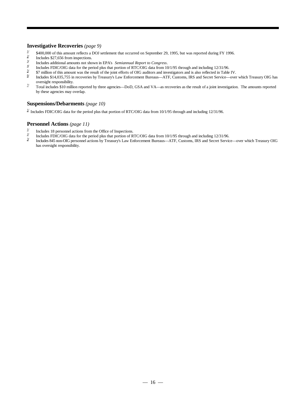#### **Investigative Recoveries** *(page 9)*

- $\frac{1}{2}$  \$400,000 of this amount reflects a DOJ settlement that occurred on September 29, 1995, but was reported during FY 1996.
- Includes \$27,656 from inspections.
- Includes additional amounts not shown in EPA's *Semiannual Report to Congress*.  $3\prime$
- Includes FDIC/OIG data for the period plus that portion of RTC/OIG data from 10/1/95 through and including 12/31/96.<br>  $\frac{5}{4}$  and including 12/31/96.
- $\frac{5}{2}$  \$7 million of this amount was the result of the joint efforts of OIG auditors and investigators and is also reflected in Table IV.<br>Includes \$14.035.755 in recoveries by Treasury's Law Enforcement Bureaus—ATE Cus
- Includes \$14,035,755 in recoveries by Treasury's Law Enforcement Bureaus— ATF, Customs, IRS and Secret Service— over which Treasury OIG has 6/ oversight responsibility.
- Total includes \$10 million reported by three agencies—DoD, GSA and VA—as recoveries as the result of a joint investigation. The amounts reported  $\frac{1}{2}$ by these agencies may overlap.

#### **Suspensions/Debarments** *(page 10)*

 $1/$  Includes FDIC/OIG data for the period plus that portion of RTC/OIG data from 10/1/95 through and including 12/31/96.

#### **Personnel Actions** *(page 11)*

- Includes 18 personnel actions from the Office of Inspections.<br>
Includes  $EDIC/OG$  data for the period plus that portion of P.
- Includes FDIC/OIG data for the period plus that portion of RTC/OIG data from 10/1/95 through and including 12/31/96.<br>Includes 845 non-OIG personnel actions by Treasury's Law Enforcement Bureaus—ATE Customs IRS and Secret
- Includes 845 non-OIG personnel actions by Treasury's Law Enforcement Bureaus— ATF, Customs, IRS and Secret Service— over which Treasury OIG 3/ has oversight responsibility.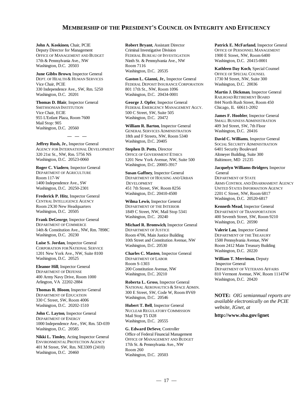#### **MEMBERSHIP OF THE PRESIDENT'S COUNCIL ON INTEGRITY AND EFFICIENCY**

**John A. Koskinen**, Chair, PCIE Deputy Director for Management Criminal Investigative Division OFFICE OF PERSONNEL MANAGEMENT OFFICE OF MANAGEMENT AND BUDGET FEDERAL BUREAU OF INVESTIGATION 1900 E Street, NW, Room 6400 17th & Pennsylvania Ave., NW Ninth St. & Pennsylvania Ave., NW Washington, D.C. 20415-0001 Washington, D.C. 20503 Room 7116

**June Gibbs Brown**, Inspector General 330 Independence Ave., SW, Rm. 5250 Washington, D.C. 20201 Washington, D.C. 20434-0001

**Thomas D. Blair**, Inspector General Vice Chair, ECIE 500 C Street, SW, Suite 505 955 L'Enfant Plaza, Room 7600 Washington, D.C. 20472 Mail Stop: 905 Washington, D.C. 20560

Washington, D.C. 20405 **Jeffrey Rush, Jr.**, Inspector General AGENCY FOR INTERNATIONAL DEVELOPMENT 320 21st St., NW, Rm. 5756 NS Washington, D.C. 20523-0060

**— — —**

DEPARTMENT OF AGRICULTURE Room 117-W 1400 Independence Ave., SW Washington, D.C. 20250-2301

CENTRAL INTELLIGENCE AGENCY Room 2X30 New Headquarters Washington, D.C. 20505

DEPARTMENT OF COMMERCE 14th & Constitution Ave., NW, Rm. 7898C Washington, D.C. 20230

CORPORATION FOR NATIONAL SERVICE 1201 New York Ave., NW, Suite 8100 Washington, D.C. 20525

DEPARTMENT OF DEFENSE 400 Army Navy Drive, Room 1000 Arlington, VA 22202-2884

**Thomas R. Bloom**, Inspector General DEPARTMENT OF EDUCATION 330 C Street, SW, Room 4006 Washington, D.C. 20202-1510

DEPARTMENT OF ENERGY 1000 Independence Ave., SW, Rm. 5D-039 Washington, D.C. 20585

ENVIRONMENTAL PROTECTION AGENCY 401 M Street, SW, Rm. NE3309 (2410) Washington, D.C. 20460

Washington, D.C. 20535

DEPT. OF HEALTH & HUMAN SERVICES **Gaston L. Gianni, Jr.**, Inspector General 1730 M Street, NW, Suite 300 Vice Chair, PCIE FEDERAL DEPOSIT INSURANCE CORPORATION Washington, D.C. 20036<br>330 Independence Ave., SW, Rm. 5250 801 17th St., NW, Room 1096

SMITHSONIAN INSTITUTION FEDERAL EMERGENCY MANAGEMENT AGCY. Chicago, IL 60611-2092 **George J. Opfer**, Inspector General

> **William R. Barton**, Inspector General GENERAL SERVICES ADMINISTRATION Washington, D.C. 20416 18th and F Streets, NW, Room 5340

Washington, D.C. 20005-3917 **Roger C. Viadero**, Inspector General **Stephen D. Potts**, Director OFFICE OF GOVERNMENT ETHICS Altmeyer Building, Suite 300 1201 New York Avenue, NW, Suite 500 Baltimore, MD 21235

> **Susan Gaffney**, Inspector General DEPARTMENT OF HOUSING AND URBAN DEPARTMENT OF STATE

**Wilma Lewis**, Inspector General DEPARTMENT OF THE INTERIOR

10th Street and Constitution Avenue, NW 1500 Pennsylvania Avenue, NW 1500 Pennsylvania Avenue, NW Washington, D.C. 20530 **Room 2412 Main Treasury Builder Michael R. Bromwich**, Inspector General DEPARTMENT OF JUSTICE Room 4706, Main Justice Building DEPARTMENT OF THE TREASURY

**Eleanor Hill**, Inspector General **Room S-1303** Inspector General **Eleanor Hill**, Inspector General 200 Constitution Avenue, NW **INSPERTMENT OF V Charles C. Masten**, Inspector General DEPARTMENT OF LABOR

> NATIONAL AERONAUTICS & SPACE ADMIN. **Roberta L. Gross**, Inspector General 300 E Street, SW, Code W, Room 8V69 Washington, D.C. 20546

**John C. Layton**, Inspector General **MUCLEAR REGULATORY COMMISSION Hubert T. Bell**, Inspector General Mail Stop T5 D28 Washington, D.C. 20555

Office of Federal Financial Management **Nikki L. Tinsley**, Acting Inspector General **G. Edward DeSeve**, Controller OFFICE OF MANAGEMENT AND BUDGET 17th St. & Pennsylvania Ave., NW Room 260 Washington, D.C. 20503

**Robert Bryant**, Assistant Director **Patrick E. McFarland**, Inspector General

**Kathleen Day Koch**, Special Counsel OFFICE OF SPECIAL COUNSEL

**Martin J. Dickman**, Inspector General RAILROAD RETIREMENT BOARD 844 North Rush Street, Room 450

**James F. Hoobler**, Inspector General SMALL BUSINESS ADMINISTRATION 409 3rd Street, SW, 7th Floor

**David C. Williams**, Inspector General SOCIAL SECURITY ADMINISTRATION 6401 Security Boulevard

**Jacquelyn Williams-Bridgers**, Inspector General

Washington, D.C. 20410-4500 2201 C Street, NW, Room 6817 **Frederick P. Hitz**, Inspector General DEVELOPMENT ARMS CONTROL AND DISARMAMENT AGENCY 451 7th Street, SW, Room 8256 UNITED STATES INFORMATION AGENCY Washington, D.C. 20520-6817

Washington, D.C. 20240 400 Seventh Street, SW, Room 9210 **Frank DeGeorge**, Inspector General 1849 C Street, NW, Mail Stop 5341 DEPARTMENT OF TRANSPORTATION **Kenneth Mead**, Inspector General Washington, D.C. 20590

> Room 2412 Main Treasury Building **Valerie Lau**, Inspector General Washington, D.C. 20220

DEPARTMENT OF VETERANS AFFAIRS Washington, D.C. 20210 810 Vermont Avenue, NW, Room 1114TW **William T. Merriman**, Deputy Washington, D.C. 20420

> **NOTE:** *OIG semiannual reports are available electronically on the PCIE website, IGnet, at*

**http://www.sba.gov/ignet**.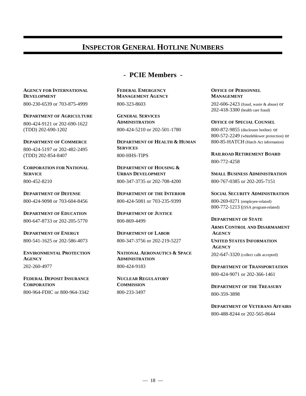## **INSPECTOR GENERAL HOTLINE NUMBERS**

## **- PCIE Members -**

**AGENCY FOR INTERNATIONAL FEDERAL EMERGENCY OFFICE OF PERSONNEL DEVELOPMENT MANAGEMENT AGENCY MANAGEMENT**

800-230-6539 or 703-875-4999

**DEPARTMENT OF AGRICULTURE GENERAL SERVICES** 800-424-9121 or 202-690-1622 (TDD) 202-690-1202

800-424-5197 or 202-482-2495 (TDD) 202-854-8407

**CORPORATION FOR NATIONAL DEPARTMENT OF HOUSING &** 800-452-8210

800-424-9098 or 703-604-8456

**DEPARTMENT OF EDUCATION DEPARTMENT OF JUSTICE** 800-647-8733 or 202-205-5770

800-541-1625 or 202-586-4073

**AGENCY ADMINISTRATION** 202-260-4977

**FEDERAL DEPOSIT INSURANCE NUCLEAR REGULATORY CORPORATION COMMISSION** 800-964-FDIC or 800-964-3342

800-323-8603

**ADMINISTRATION OFFICE OF SPECIAL COUNSEL** 800-424-5210 or 202-501-1780

**DEPARTMENT OF COMMERCE DEPARTMENT OF HEALTH & HUMAN SERVICES** 800-HHS-TIPS

800-347-3735 or 202-708-4200

**DEPARTMENT OF DEFENSE DEPARTMENT OF THE INTERIOR SOCIAL SECURITY ADMINISTRATION** 800-424-5081 or 703-235-9399

800-869-4499

**DEPARTMENT OF ENERGY DEPARTMENT OF LABOR AGENCY** 800-347-3756 or 202-219-5227

**ENVIRONMENTAL PROTECTION NATIONAL AERONAUTICS & SPACE** 800-424-9183

800-233-3497

202-606-2423 (fraud, waste & abuse) or 202-418-3300 (health care fraud)

800-872-9855 (disclosure hotline) or 800-572-2249 (whistleblower protection) or 800-85-HATCH (Hatch Act information)

**RAILROAD RETIREMENT BOARD** 800-772-4258

**SERVICE URBAN DEVELOPMENT SMALL BUSINESS ADMINISTRATION** 800-767-0385 or 202-205-7151

> 800-269-0271 (employee-related) 800-772-1213 ((SSA program-related)

**DEPARTMENT OF STATE ARMS CONTROL AND DISARMAMENT**

**UNITED STATES INFORMATION AGENCY** 202-647-3320 (collect calls accepted)

**DEPARTMENT OF TRANSPORTATION** 800-424-9071 or 202-366-1461

**DEPARTMENT OF THE TREASURY** 800-359-3898

**DEPARTMENT OF VETERANS AFFAIRS** 800-488-8244 or 202-565-8644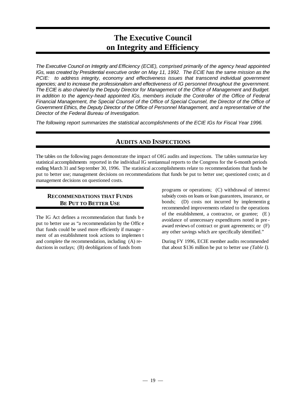## **The Executive Council on Integrity and Efficiency**

*The Executive Council on Integrity and Efficiency (ECIE), comprised primarily of the agency head appointed IGs, was created by Presidential executive order on May 11, 1992. The ECIE has the same mission as the PCIE: to address integrity, economy and effectiveness issues that transcend individual government agencies; and to increase the professionalism and effectiveness of IG personnel throughout the government. The ECIE is also chaired by the Deputy Director for Management of the Office of Management and Budget. In addition to the agency-head appointed IGs, members include the Controller of the Office of Federal Financial Management, the Special Counsel of the Office of Special Counsel, the Director of the Office of Government Ethics, the Deputy Director of the Office of Personnel Management, and a representative of the Director of the Federal Bureau of Investigation.*

*The following report summarizes the statistical accomplishments of the ECIE IGs for Fiscal Year 1996.*

## **AUDITS AND INSPECTIONS**

The tables on the following pages demonstrate the impact of OIG audits and inspections. The tables summarize key statistical accomplishments reported in the individual IG semiannual reports to the Congress for the 6-month periods ending March 31 and Sep tember 30, 1996. The statistical accomplishments relate to recommendations that funds be put to better use; management decisions on recommendations that funds be put to better use; questioned costs; an d management decisions on questioned costs.

#### **RECOMMENDATIONS THAT FUNDS BE PUT TO BETTER USE**

The IG Act defines a recommendation that funds b e put to better use as "a recommendation by the Offic e that funds could be used more efficiently if manage ment of an establishment took actions to implemen t and complete the recommendation, including (A) reductions in outlays; (B) deobligations of funds from

programs or operations; (C) withdrawal of interest subsidy costs on loans or loan guarantees, insurance, or bonds; (D) costs not incurred by implementin g recommended improvements related to the operations of the establishment, a contractor, or grantee; (E ) avoidance of unnecessary expenditures noted in pre award reviews of contract or grant agreements; or (F) any other savings which are specifically identified."

During FY 1996, ECIE member audits recommended that about \$136 million be put to better use *(Table I)*.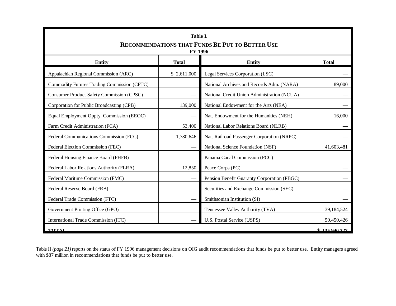| Table I.<br>RECOMMENDATIONS THAT FUNDS BE PUT TO BETTER USE<br><b>FY 1996</b>                      |                                          |                                             |            |  |  |
|----------------------------------------------------------------------------------------------------|------------------------------------------|---------------------------------------------|------------|--|--|
| <b>Entity</b><br><b>Total</b><br><b>Total</b><br>Entity                                            |                                          |                                             |            |  |  |
| Appalachian Regional Commission (ARC)                                                              | \$2,611,000                              | Legal Services Corporation (LSC)            |            |  |  |
| Commodity Futures Trading Commission (CFTC)                                                        |                                          | National Archives and Records Adm. (NARA)   | 89,000     |  |  |
| <b>Consumer Product Safety Commission (CPSC)</b>                                                   |                                          | National Credit Union Administration (NCUA) |            |  |  |
| Corporation for Public Broadcasting (CPB)                                                          | 139,000                                  | National Endowment for the Arts (NEA)       |            |  |  |
| Equal Employment Oppty. Commission (EEOC)                                                          |                                          | Nat. Endowment for the Humanities (NEH)     | 16,000     |  |  |
| Farm Credit Administration (FCA)<br>53,400<br>National Labor Relations Board (NLRB)                |                                          |                                             |            |  |  |
| Federal Communications Commission (FCC)<br>1,780,646<br>Nat. Railroad Passenger Corporation (NRPC) |                                          |                                             |            |  |  |
| Federal Election Commission (FEC)                                                                  |                                          | National Science Foundation (NSF)           | 41,603,481 |  |  |
| Federal Housing Finance Board (FHFB)                                                               | -                                        | Panama Canal Commission (PCC)               |            |  |  |
| Federal Labor Relations Authority (FLRA)                                                           | 12,850                                   | Peace Corps (PC)                            |            |  |  |
| Federal Maritime Commission (FMC)                                                                  |                                          | Pension Benefit Guaranty Corporation (PBGC) |            |  |  |
| Federal Reserve Board (FRB)                                                                        |                                          | Securities and Exchange Commission (SEC)    |            |  |  |
| Federal Trade Commission (FTC)                                                                     |                                          | Smithsonian Institution (SI)                |            |  |  |
| Government Printing Office (GPO)                                                                   |                                          | Tennessee Valley Authority (TVA)            | 39,184,524 |  |  |
| International Trade Commission (ITC)                                                               | U.S. Postal Service (USPS)<br>50,450,426 |                                             |            |  |  |
| <b>TOTAL</b><br>\$135940327                                                                        |                                          |                                             |            |  |  |

Table II (page 21) reports on the status of FY 1996 management decisions on OIG audit recommendations that funds be put to better use. Entity managers agreed with \$87 million in recommendations that funds be put to better use.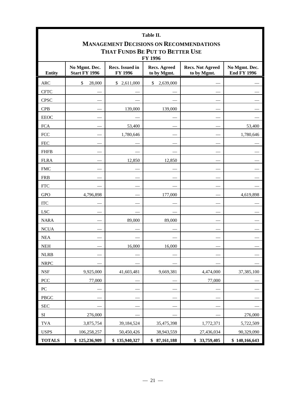| Table II.                                      |                                                                                                                                                                                            |               |                 |              |               |  |  |
|------------------------------------------------|--------------------------------------------------------------------------------------------------------------------------------------------------------------------------------------------|---------------|-----------------|--------------|---------------|--|--|
| <b>MANAGEMENT DECISIONS ON RECOMMENDATIONS</b> |                                                                                                                                                                                            |               |                 |              |               |  |  |
| THAT FUNDS BE PUT TO BETTER USE<br>FY 1996     |                                                                                                                                                                                            |               |                 |              |               |  |  |
| <b>Entity</b>                                  | No Mgmt. Dec.<br>Recs. Issued in<br><b>Recs. Agreed</b><br><b>Recs. Not Agreed</b><br>No Mgmt. Dec.<br><b>Start FY 1996</b><br><b>End FY 1996</b><br>FY 1996<br>to by Mgmt.<br>to by Mgmt. |               |                 |              |               |  |  |
| <b>ARC</b>                                     | \$<br>28,000                                                                                                                                                                               | \$2,611,000   | 2,639,000<br>\$ |              |               |  |  |
| <b>CFTC</b>                                    |                                                                                                                                                                                            |               |                 |              |               |  |  |
| <b>CPSC</b>                                    |                                                                                                                                                                                            |               |                 |              |               |  |  |
| <b>CPB</b>                                     |                                                                                                                                                                                            | 139,000       | 139,000         |              |               |  |  |
| <b>EEOC</b>                                    |                                                                                                                                                                                            |               |                 |              |               |  |  |
| <b>FCA</b>                                     |                                                                                                                                                                                            | 53,400        |                 |              | 53,400        |  |  |
| <b>FCC</b>                                     |                                                                                                                                                                                            | 1,780,646     |                 |              | 1,780,646     |  |  |
| <b>FEC</b>                                     |                                                                                                                                                                                            |               |                 |              |               |  |  |
| <b>FHFB</b>                                    |                                                                                                                                                                                            |               |                 |              |               |  |  |
| <b>FLRA</b>                                    |                                                                                                                                                                                            | 12,850        | 12,850          |              |               |  |  |
| <b>FMC</b>                                     |                                                                                                                                                                                            |               |                 |              |               |  |  |
| <b>FRB</b>                                     |                                                                                                                                                                                            |               |                 |              |               |  |  |
| <b>FTC</b>                                     |                                                                                                                                                                                            |               |                 |              |               |  |  |
| <b>GPO</b>                                     | 4,796,898                                                                                                                                                                                  |               | 177,000         |              | 4,619,898     |  |  |
| <b>ITC</b>                                     |                                                                                                                                                                                            |               |                 |              |               |  |  |
| <b>LSC</b>                                     |                                                                                                                                                                                            |               |                 |              |               |  |  |
| <b>NARA</b>                                    |                                                                                                                                                                                            | 89,000        | 89,000          |              |               |  |  |
| <b>NCUA</b>                                    |                                                                                                                                                                                            |               |                 |              |               |  |  |
| <b>NEA</b>                                     |                                                                                                                                                                                            |               |                 |              |               |  |  |
| <b>NEH</b>                                     |                                                                                                                                                                                            | 16,000        | 16,000          |              |               |  |  |
| $NLRB$                                         |                                                                                                                                                                                            |               |                 |              |               |  |  |
| <b>NRPC</b>                                    |                                                                                                                                                                                            |               |                 |              |               |  |  |
| <b>NSF</b>                                     | 9,925,000                                                                                                                                                                                  | 41,603,481    | 9,669,381       | 4,474,000    | 37,385,100    |  |  |
| PCC                                            | 77,000                                                                                                                                                                                     |               |                 | 77,000       |               |  |  |
| ${\rm P}{\bf C}$                               |                                                                                                                                                                                            |               |                 |              |               |  |  |
| PBGC                                           |                                                                                                                                                                                            |               |                 |              |               |  |  |
| <b>SEC</b>                                     |                                                                                                                                                                                            |               |                 |              |               |  |  |
| $\rm{SI}$                                      | 276,000                                                                                                                                                                                    |               |                 |              | 276,000       |  |  |
| <b>TVA</b>                                     | 3,875,754                                                                                                                                                                                  | 39,184,524    | 35,475,398      | 1,772,371    | 5,722,509     |  |  |
| <b>USPS</b>                                    | 106,258,257                                                                                                                                                                                | 50,450,426    | 38,943,559      | 27,436,034   | 90,329,090    |  |  |
| <b>TOTALS</b>                                  | \$125,236,909                                                                                                                                                                              | \$135,940,327 | \$87,161,188    | \$33,759,405 | \$140,166,643 |  |  |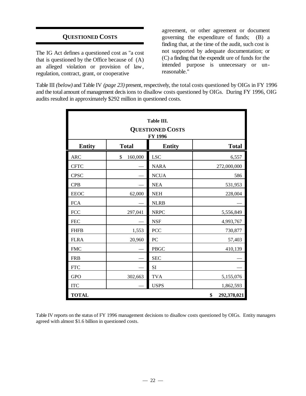## **QUESTIONED COSTS**

The IG Act defines a questioned cost as "a cost that is questioned by the Office because of (A) an alleged violation or provision of law, regulation, contract, grant, or cooperative

agreement, or other agreement or document governing the expenditure of funds; (B) a finding that, at the time of the audit, such cost is not supported by adequate documentation; or (C) a finding that the expendit ure of funds for the intended purpose is unnecessary or unreasonable."

Table III *(below)* and Table IV *(page 23)* present, respectively, the total costs questioned by OIGs in FY 1996 and the total amount of management decisions to disallow costs questioned by OIGs. During FY 1996, OIG audits resulted in approximately \$292 million in questioned costs.

| Table III.<br><b>QUESTIONED COSTS</b><br>FY 1996 |               |               |                   |
|--------------------------------------------------|---------------|---------------|-------------------|
| <b>Entity</b>                                    | <b>Total</b>  | <b>Entity</b> | <b>Total</b>      |
| <b>ARC</b>                                       | \$<br>160,000 | <b>LSC</b>    | 6,557             |
| <b>CFTC</b>                                      |               | <b>NARA</b>   | 272,000,000       |
| <b>CPSC</b>                                      |               | <b>NCUA</b>   | 586               |
| <b>CPB</b>                                       |               | <b>NEA</b>    | 531,953           |
| <b>EEOC</b>                                      | 62,000        | <b>NEH</b>    | 228,004           |
| <b>FCA</b>                                       |               | <b>NLRB</b>   |                   |
| <b>FCC</b>                                       | 297,041       | <b>NRPC</b>   | 5,556,849         |
| <b>FEC</b>                                       |               | <b>NSF</b>    | 4,993,767         |
| <b>FHFB</b>                                      | 1,553         | <b>PCC</b>    | 730,877           |
| <b>FLRA</b>                                      | 20,960        | PC            | 57,403            |
| <b>FMC</b>                                       |               | PBGC          | 410,139           |
| <b>FRB</b>                                       |               | <b>SEC</b>    |                   |
| <b>FTC</b>                                       |               | SI            |                   |
| <b>GPO</b>                                       | 302,663       | <b>TVA</b>    | 5,155,076         |
| <b>ITC</b>                                       |               | <b>USPS</b>   | 1,862,593         |
| <b>TOTAL</b>                                     |               |               | \$<br>292,378,021 |

Table IV reports on the status of FY 1996 management decisions to disallow costs questioned by OIGs. Entity managers agreed with almost \$1.6 billion in questioned costs.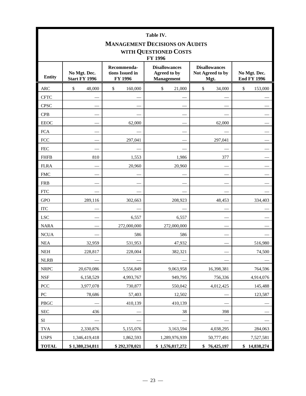| Table IV.<br><b>MANAGEMENT DECISIONS ON AUDITS</b><br>WITH QUESTIONED COSTS<br><b>FY 1996</b> |                                      |                                           |                                                           |                                                  |                                    |
|-----------------------------------------------------------------------------------------------|--------------------------------------|-------------------------------------------|-----------------------------------------------------------|--------------------------------------------------|------------------------------------|
| <b>Entity</b>                                                                                 | No Mgt. Dec.<br><b>Start FY 1996</b> | Recommenda-<br>tions Issued in<br>FY 1996 | <b>Disallowances</b><br>Agreed to by<br><b>Management</b> | <b>Disallowances</b><br>Not Agreed to by<br>Mgt. | No Mgt. Dec.<br><b>End FY 1996</b> |
| <b>ARC</b>                                                                                    | $\$$<br>48,000                       | \$<br>160,000                             | \$<br>21,000                                              | \$<br>34,000                                     | \$<br>153,000                      |
| <b>CFTC</b>                                                                                   |                                      |                                           |                                                           |                                                  |                                    |
| <b>CPSC</b>                                                                                   |                                      |                                           |                                                           |                                                  |                                    |
| <b>CPB</b>                                                                                    |                                      |                                           |                                                           |                                                  |                                    |
| <b>EEOC</b>                                                                                   |                                      | 62,000                                    |                                                           | 62,000                                           |                                    |
| <b>FCA</b>                                                                                    |                                      |                                           |                                                           |                                                  |                                    |
| <b>FCC</b>                                                                                    |                                      | 297,041                                   |                                                           | 297,041                                          |                                    |
| <b>FEC</b>                                                                                    |                                      |                                           |                                                           |                                                  |                                    |
| <b>FHFB</b>                                                                                   | 810                                  | 1,553                                     | 1,986                                                     | 377                                              |                                    |
| <b>FLRA</b>                                                                                   |                                      | 20,960                                    | 20,960                                                    |                                                  |                                    |
| <b>FMC</b>                                                                                    |                                      |                                           |                                                           |                                                  |                                    |
| <b>FRB</b>                                                                                    |                                      |                                           |                                                           |                                                  |                                    |
| <b>FTC</b>                                                                                    |                                      |                                           |                                                           |                                                  |                                    |
| <b>GPO</b>                                                                                    | 289,116                              | 302,663                                   | 208,923                                                   | 48,453                                           | 334,403                            |
| <b>ITC</b>                                                                                    |                                      |                                           |                                                           |                                                  |                                    |
| <b>LSC</b>                                                                                    |                                      | 6,557                                     | 6,557                                                     |                                                  |                                    |
| <b>NARA</b>                                                                                   |                                      | 272,000,000                               | 272,000,000                                               |                                                  |                                    |
| <b>NCUA</b>                                                                                   |                                      | 586                                       | 586                                                       |                                                  |                                    |
| <b>NEA</b>                                                                                    | 32,959                               | 531,953                                   | 47,932                                                    |                                                  | 516,980                            |
| <b>NEH</b>                                                                                    | 228,817                              | 228,004                                   | 382,321                                                   |                                                  | 74,500                             |
| <b>NLRB</b>                                                                                   |                                      |                                           |                                                           |                                                  |                                    |
| <b>NRPC</b>                                                                                   | 20,670,086                           | 5,556,849                                 | 9,063,958                                                 | 16,398,381                                       | 764,596                            |
| $\operatorname{NSF}$                                                                          | 6,158,529                            | 4,993,767                                 | 949,795                                                   | 756,336                                          | 4,914,076                          |
| PCC                                                                                           | 3,977,078                            | 730,877                                   | 550,042                                                   | 4,012,425                                        | 145,488                            |
| ${\rm P}{\bf C}$                                                                              | 78,686                               | 57,403                                    | 12,502                                                    |                                                  | 123,587                            |
| <b>PBGC</b>                                                                                   |                                      | 410,139                                   | 410,139                                                   |                                                  |                                    |
| <b>SEC</b>                                                                                    | 436                                  |                                           | 38                                                        | 398                                              |                                    |
| $\rm SI$                                                                                      |                                      |                                           |                                                           |                                                  |                                    |
| <b>TVA</b>                                                                                    | 2,330,876                            | 5,155,076                                 | 3,163,594                                                 | 4,038,295                                        | 284,063                            |
| <b>USPS</b>                                                                                   | 1,346,419,418                        | 1,862,593                                 | 1,289,976,939                                             | 50,777,491                                       | 7,527,581                          |
| <b>TOTAL</b>                                                                                  | \$1,380,234,811                      | \$292,378,021                             | \$1,576,817,272                                           | \$76,425,197                                     | \$14,838,274                       |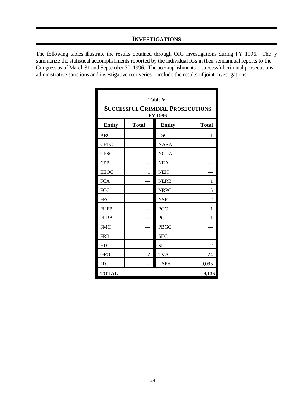## **INVESTIGATIONS**

The following tables illustrate the results obtained through OIG investigations during FY 1996. The y summarize the statistical accomplishments reported by the individual IGs in their semiannual reports to the Congress as of March 31 and September 30, 1996. The accompl ishments— successful criminal prosecutions, administrative sanctions and investigative recoveries— include the results of joint investigations.

| Table V.<br><b>SUCCESSFUL CRIMINAL PROSECUTIONS</b><br>FY 1996 |                |               |                |
|----------------------------------------------------------------|----------------|---------------|----------------|
| <b>Entity</b>                                                  | <b>Total</b>   | <b>Entity</b> | <b>Total</b>   |
| <b>ARC</b>                                                     |                | <b>LSC</b>    | 1              |
| <b>CFTC</b>                                                    |                | <b>NARA</b>   |                |
| <b>CPSC</b>                                                    |                | <b>NCUA</b>   |                |
| <b>CPB</b>                                                     |                | <b>NEA</b>    |                |
| <b>EEOC</b>                                                    | 1              | <b>NEH</b>    |                |
| <b>FCA</b>                                                     |                | <b>NLRB</b>   | 1              |
| <b>FCC</b>                                                     |                | <b>NRPC</b>   | 5              |
| <b>FEC</b>                                                     |                | <b>NSF</b>    | $\overline{2}$ |
| <b>FHFB</b>                                                    |                | <b>PCC</b>    | 1              |
| <b>FLRA</b>                                                    |                | PC            | 1              |
| <b>FMC</b>                                                     |                | <b>PBGC</b>   |                |
| <b>FRB</b>                                                     |                | <b>SEC</b>    |                |
| <b>FTC</b>                                                     | 1              | SI            | $\overline{2}$ |
| <b>GPO</b>                                                     | $\overline{2}$ | <b>TVA</b>    | 24             |
| <b>ITC</b>                                                     |                | <b>USPS</b>   | 9,095          |
| <b>TOTAL</b><br>9,136                                          |                |               |                |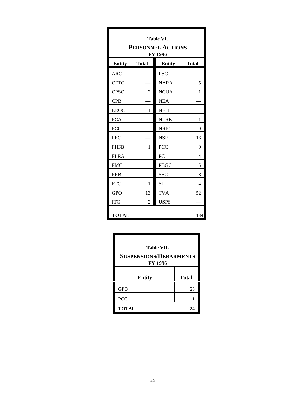| <b>Table VI.</b><br><b>PERSONNEL ACTIONS</b><br>FY 1996 |              |               |              |
|---------------------------------------------------------|--------------|---------------|--------------|
| <b>Entity</b>                                           | <b>Total</b> | <b>Entity</b> | <b>Total</b> |
| <b>ARC</b>                                              |              | <b>LSC</b>    |              |
| <b>CFTC</b>                                             |              | <b>NARA</b>   | 5            |
| <b>CPSC</b>                                             | 2            | <b>NCUA</b>   | 1            |
| <b>CPB</b>                                              |              | <b>NEA</b>    |              |
| <b>EEOC</b>                                             | 1            | <b>NEH</b>    |              |
| <b>FCA</b>                                              |              | <b>NLRB</b>   | 1            |
| <b>FCC</b>                                              |              | <b>NRPC</b>   | 9            |
| <b>FEC</b>                                              |              | <b>NSF</b>    | 16           |
| <b>FHFB</b>                                             | 1            | PCC           | 9            |
| <b>FLRA</b>                                             |              | PC            | 4            |
| <b>FMC</b>                                              |              | <b>PBGC</b>   | 5            |
| <b>FRB</b>                                              |              | <b>SEC</b>    | 8            |
| <b>FTC</b>                                              | 1            | <b>SI</b>     | 4            |
| <b>GPO</b>                                              | 13           | <b>TVA</b>    | 52           |
| <b>ITC</b>                                              | 2            | <b>USPS</b>   |              |
| <b>TOTAL</b><br>134                                     |              |               |              |

| Table VII.<br><b>SUSPENSIONS/DEBARMENTS</b><br><b>FY 1996</b> |              |  |  |
|---------------------------------------------------------------|--------------|--|--|
| <b>Entity</b>                                                 | <b>Total</b> |  |  |
| <b>GPO</b>                                                    | 23           |  |  |
|                                                               |              |  |  |
| <b>PCC</b>                                                    |              |  |  |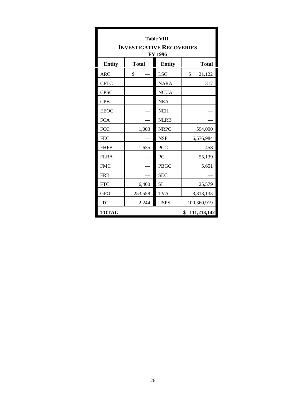| <b>Table VIII.</b><br><b>INVESTIGATIVE RECOVERIES</b> |              |               |                   |  |
|-------------------------------------------------------|--------------|---------------|-------------------|--|
|                                                       | FY 1996      |               |                   |  |
| <b>Entity</b>                                         | <b>Total</b> | <b>Entity</b> | <b>Total</b>      |  |
| <b>ARC</b>                                            | \$           | <b>LSC</b>    | \$<br>21,122      |  |
| <b>CFTC</b>                                           |              | <b>NARA</b>   | 317               |  |
| <b>CPSC</b>                                           |              | <b>NCUA</b>   |                   |  |
| <b>CPB</b>                                            |              | <b>NEA</b>    |                   |  |
| <b>EEOC</b>                                           |              | <b>NEH</b>    |                   |  |
| <b>FCA</b>                                            |              | <b>NLRB</b>   |                   |  |
| <b>FCC</b>                                            | 1,003        | <b>NRPC</b>   | 594,000           |  |
| <b>FEC</b>                                            |              | <b>NSF</b>    | 6,576,984         |  |
| <b>FHFB</b>                                           | 1,635        | <b>PCC</b>    | 458               |  |
| <b>FLRA</b>                                           |              | PC            | 55,139            |  |
| <b>FMC</b>                                            |              | <b>PBGC</b>   | 5,651             |  |
| <b>FRB</b>                                            |              | <b>SEC</b>    |                   |  |
| <b>FTC</b>                                            | 6,400        | SI            | 25,579            |  |
| <b>GPO</b>                                            | 253,558      | <b>TVA</b>    | 3,313,133         |  |
| <b>ITC</b>                                            | 2,244        | <b>USPS</b>   | 100,360,919       |  |
| <b>TOTAL</b>                                          |              |               | \$<br>111,218,142 |  |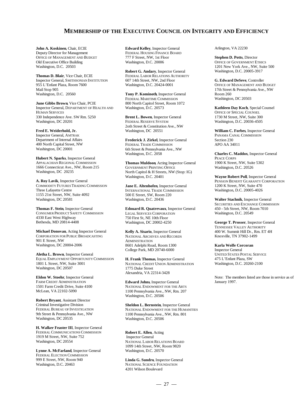#### **MEMBERSHIP OF THE EXECUTIVE COUNCIL ON INTEGRITY AND EFFICIENCY**

**John A. Koskinen**, Chair, ECIE Deputy Director for Management FEDERAL HOUSING FINANCE BOARD<br>OFFICE OF MANAGEMENT AND BUDGET 777 F Street. NW. 1st Floor OFFICE OF MANAGEMENT AND BUDGET 777 F Street, NW, 1st Floor **Stephen D. Potts**, Director Old Executive Office Building Washington, D.C. 20006 OFFICE OF GOVERNMENT ETHICS<br>Washington, D.C. 20503 1201 New York Ave., NW, Suite

**Thomas D. Blair**, Vice Chair, ECIE FEDERAL LABOR RELATIONS AUTHORITY Inspector General, SMITHSONIAN INSTITUTION 607 14th Street, NW, 2nd Floor **G. Edward DeSeve**, Controller Mail Stop 905 17th Street & Pennsylvania Ave., NW<br>
Washington, D.C. 20560 **17th Street & Pennsylvania Ave.**, NW Washington, D.C. 20560 **Tony P. Kominoth**, Inspector General Room 260

**June Gibbs Brown**, Vice Chair, PCIE 800 North Capitol Street, Room 1072<br>Inspector General, DEPARTMENT OF HEALTH AND Washington, D.C. 20573 Inspector General, DEPARTMENT OF HEALTH AND Washington, D.C. 20573 **Kathleen Day Koch**, Special Counsel 330 Independence Ave. SW Rm. 5250 **1730** Brent L. Bowen, Inspector General 1730 M Street, NW, Suite 300 Washington, D.C. 20201 **EDERAL RESERVE SYSTEM** Washington, D.C. 20036-4505

Inspector General, AMTRAK Department of Internal Affairs 400 North Capital Street, NW Washington, DC 20001

**Hubert N. Sparks**, Inspector General APPALACHIAN REGIONAL COMMISSION 1666 Connecticut Ave., NW, Room 215 Washington, DC 20235

**A. Roy Lavik**, Inspector General COMMODITY FUTURES TRADING COMMISSION Three Lafayette Centre 1155 21st Street, NW, Suite 4092 Washington, DC 20581

**Thomas F. Stein**, Inspector General CONSUMER PRODUCT SAFETY COMMISSION 4330 East West Highway Bethesda, MD 20814-4408

**Michael Donovan**, Acting Inspector General CORPORATION FOR PUBLIC BROADCASTING 901 E Street, NW Washington, DC 20004-2006

**Aletha L. Brown**, Inspector General **H. Frank Thomas**, Inspector General **UNITED STATES POSTAL SERVICE**<br>
EQUAL EMPLOYMENT OPPORTUNITY COMMISSION **H. Frank Thomas**, Inspector General 475 L'Enfant Plaza, SW EQUAL EMPLOYMENT OPPORTUNITY COMMISSION **H. Frank Thomas**, Inspector General 475 L'Enfant Plaza, SW 1801 L Street, NW, Suite 3001 NATIONAL CREDIT UNION ADMINISTRATION Washington, D.C. 20260-2100 1801 L Street, NW, Suite 3001 Washington, D.C. 20260-2100 NATIONAL CREDIT UNION ADMINISTRATION Washington, DC 20507

**Eldon W. Stoehr**, Inspector General FARM CREDIT ADMINISTRATION 1501 Farm Credit Drive, Suite 4100 McLean, VA 22102-5090

**Robert Bryant**, Assistant Director Criminal Investigative Division FEDERAL BUREAU OF INVESTIGATION 9th Street & Pennsylvania Ave., NW Washington, DC 20535

**H. Walker Feaster III**, Inspector General FEDERAL COMMUNICATIONS COMMISSION 1919 M Street, NW, Suite 752 Washington, DC 20554

**Lynne A. McFarland**, Inspector General FEDERAL ELECTION COMMISSION 999 E Street, NW, Room 940 Washington, D.C. 20463

**Edward Kelley**, Inspector General

**Robert G. Andary**, Inspector General

FEDERAL MARITIME COMMISSION

**Fred E. Weiderhold, Jr.** Washington, DC 20551 **William C. Forbes**, Inspector General **Brent L. Bowen**, Inspector General FEDERAL RESERVE SYSTEM 2oth Street & Constitution Ave., NW

> **Frederick J. Zirkel**, Inspector General FEDERAL TRADE COMMISSION 6th Street & Pennsylvania Ave., NW

**Thomas Muldoon**, Acting Inspector General GOVERNMENT PRINTING OFFICE North Capitol & H Streets, NW (Stop: IG) Washington, D.C. 20401 **Wayne Robert Poll**, Inspector General

**Jane E. Altenhofen**, Inspector General INTERNATIONAL TRADE COMMISSION 500 E Street, SW, Room 220 Washington, D.C. 20436 **Walter Stachnik**, Inspector General

**Edouard R. Quatrevaux**, Inspector General LEGAL SERVICES CORPORATION 750 First St, NE 10th Floor

**Kelly A. Sisario**, Inspector General NATIONAL ARCHIVES AND RECORDS **ADMINISTRATION** 8601 Adelphi Road, Room 1300 **Karla Wolfe Corcoran** College Park, MD 20740-6000

**H. Frank Thomas**, Inspector General 1775 Duke Street Alexandria, VA 22314-3428

**Edward Johns**, Inspector General NATIONAL ENDOWMENT FOR THE ARTS 1100 Pennsylvania Ave., NW, Rm. 207 Washington, D.C. 20506

**Sheldon L. Bernstein**, Inspector General NATIONAL ENDOWMENT FOR THE HUMANITIES 1100 Pennsylvania Ave., NW, Rm. 801 Washington, D.C. 20506

#### **Robert E. Allen**, Acting

 Inspector General NATIONAL LABOR RELATIONS BOARD 1099 14th Street, NW, Room 9820 Washington, D.C. 20570

**Linda G. Sundro**, Inspector General NATIONAL SCIENCE FOUNDATION 4201 Wilson Boulevard

Arlington, VA 22230

1201 New York Ave., NW, Suite 500 Washington, D.C. 20005-3917

OFFICE OF MANAGEMENT AND BUDGET Washington, DC 20503

OFFICE OF SPECIAL COUNSEL

PANAMA CANAL COMMISSION Section 230 APO AA 34011

Charles C. Maddox, Inspector General PEACE CORPS 1900 K Street, NW, Suite 5302 Washington, D.C. 20526

PENSION BENEFIT GUARANTY CORPORATION 1200 K Street, NW, Suite 470 Washington, D.C. 20005-4026

SECURITIES AND EXCHANGE COMMISSION 450 - 5th Street, NW, Room 7010 Washington, D.C. 20549

George T. Prosser, Inspector General TENNESSEE VALLEY AUTHORITY 400 W. Summit Hill Dr., Rm. ET 4H Knoxville, TN 37902-1499

Inspector General

Note: The members listed are those in service as of January 1997.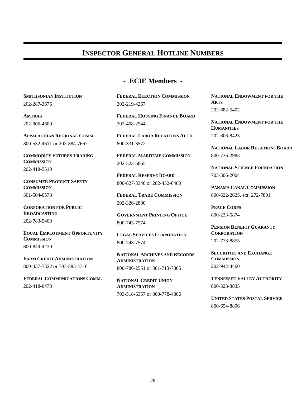## **INSPECTOR GENERAL HOTLINE NUMBERS**

## **- ECIE Members -**

202-287-3676

202-906-4600

800-532-4611 or 202-884-7667

**COMMISSION** 202-418-5510

**CONSUMER PRODUCT SAFETY COMMISSION PANAMA CANAL COMMISSION** 301-504-0573

**CORPORATION FOR PUBLIC PEACE CORPS BROADCASTING** 202-783-5408

**EQUAL EMPLOYMENT OPPORTUNITY CORPORATION COMMISSION** 800-849-4230

800-437-7322 or 703-883-4316

**FEDERAL COMMUNICATIONS COMM. TENNESSEE VALLEY AUTHORITY** 202-418-0473

**SMITHSONIAN INSTITUTION FEDERAL ELECTION COMMISSION NATIONAL ENDOWMENT FOR THE** 202-219-4267

**AMTRAK FEDERAL HOUSING FINANCE BOARD** 202-408-2544

**APPALACHIAN REGIONAL COMM. FEDERAL LABOR RELATIONS AUTH.** 800-331-3572

**COMMODITY FUTURES TRADING FEDERAL MARITIME COMMISSION** 202-523-5865

> **FEDERAL RESERVE BOARD** 800-827-3340 or 202-452-6400

**FEDERAL TRADE COMMISSION** 202-326-2800

**GOVERNMENT PRINTING OFFICE** 800-743-7574

**LEGAL SERVICES CORPORATION** 800-743-7574

**FARM CREDIT ADMINISTRATION COMMISSION NATIONAL ARCHIVES AND RECORDS ADMINISTRATION** 800-786-2551 or 301-713-7305

> **NATIONAL CREDIT UNION ADMINISTRATION** 703-518-6357 or 800-778-4806

**ARTS** 202-682-5402

**NATIONAL ENDOWMENT FOR THE HUMANITIES** 202-606-8423

**NATIONAL LABOR RELATIONS BOARD** 800-736-2983

**NATIONAL SCIENCE FOUNDATION** 703-306-2004

800-622-2625, ext. 272-7801

800-233-5874

**PENSION BENEFIT GUARANTY** 202-778-8855

**SECURITIES AND EXCHANGE** 202-942-4460

800-323-3835

**UNITED STATES POSTAL SERVICE** 800-654-8896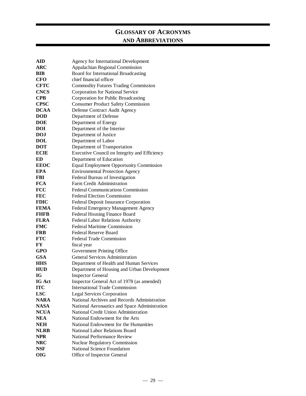## **GLOSSARY OF ACRONYMS AND ABBREVIATIONS**

| ${\bf AID}$ | Agency for International Development           |  |  |
|-------------|------------------------------------------------|--|--|
| <b>ARC</b>  | Appalachian Regional Commission                |  |  |
| <b>BIB</b>  | Board for International Broadcasting           |  |  |
| <b>CFO</b>  | chief financial officer                        |  |  |
| <b>CFTC</b> | <b>Commodity Futures Trading Commission</b>    |  |  |
| <b>CNCS</b> | Corporation for National Service               |  |  |
| <b>CPB</b>  | Corporation for Public Broadcasting            |  |  |
| <b>CPSC</b> | <b>Consumer Product Safety Commission</b>      |  |  |
| <b>DCAA</b> | Defense Contract Audit Agency                  |  |  |
| <b>DOD</b>  | Department of Defense                          |  |  |
| <b>DOE</b>  | Department of Energy                           |  |  |
| DOI         | Department of the Interior                     |  |  |
| <b>DOJ</b>  | Department of Justice                          |  |  |
| <b>DOL</b>  | Department of Labor                            |  |  |
| <b>DOT</b>  | Department of Transportation                   |  |  |
| <b>ECIE</b> | Executive Council on Integrity and Efficiency  |  |  |
| ED          | Department of Education                        |  |  |
| <b>EEOC</b> | <b>Equal Employment Opportunity Commission</b> |  |  |
| <b>EPA</b>  | <b>Environmental Protection Agency</b>         |  |  |
| <b>FBI</b>  | Federal Bureau of Investigation                |  |  |
| <b>FCA</b>  | Farm Credit Administration                     |  |  |
| <b>FCC</b>  | <b>Federal Communications Commission</b>       |  |  |
| <b>FEC</b>  | <b>Federal Election Commission</b>             |  |  |
| <b>FDIC</b> | Federal Deposit Insurance Corporation          |  |  |
| <b>FEMA</b> | Federal Emergency Management Agency            |  |  |
| <b>FHFB</b> | Federal Housing Finance Board                  |  |  |
| <b>FLRA</b> | Federal Labor Relations Authority              |  |  |
| <b>FMC</b>  | <b>Federal Maritime Commission</b>             |  |  |
| <b>FRB</b>  | Federal Reserve Board                          |  |  |
| <b>FTC</b>  | <b>Federal Trade Commission</b>                |  |  |
| FY          | fiscal year                                    |  |  |
| <b>GPO</b>  | Government Printing Office                     |  |  |
| <b>GSA</b>  | <b>General Services Administration</b>         |  |  |
| <b>HHS</b>  | Department of Health and Human Services        |  |  |
| <b>HUD</b>  | Department of Housing and Urban Development    |  |  |
| <b>IG</b>   | <b>Inspector General</b>                       |  |  |
| IG Act      | Inspector General Act of 1978 (as amended)     |  |  |
| <b>ITC</b>  | <b>International Trade Commission</b>          |  |  |
| <b>LSC</b>  | <b>Legal Services Corporation</b>              |  |  |
| <b>NARA</b> | National Archives and Records Administration   |  |  |
| <b>NASA</b> | National Aeronautics and Space Administration  |  |  |
| <b>NCUA</b> | National Credit Union Administration           |  |  |
| <b>NEA</b>  | National Endowment for the Arts                |  |  |
| <b>NEH</b>  | National Endowment for the Humanities          |  |  |
| <b>NLRB</b> | <b>National Labor Relations Board</b>          |  |  |
| <b>NPR</b>  | National Performance Review                    |  |  |
| <b>NRC</b>  | <b>Nuclear Regulatory Commission</b>           |  |  |
| <b>NSF</b>  | <b>National Science Foundation</b>             |  |  |
| <b>OIG</b>  | Office of Inspector General                    |  |  |